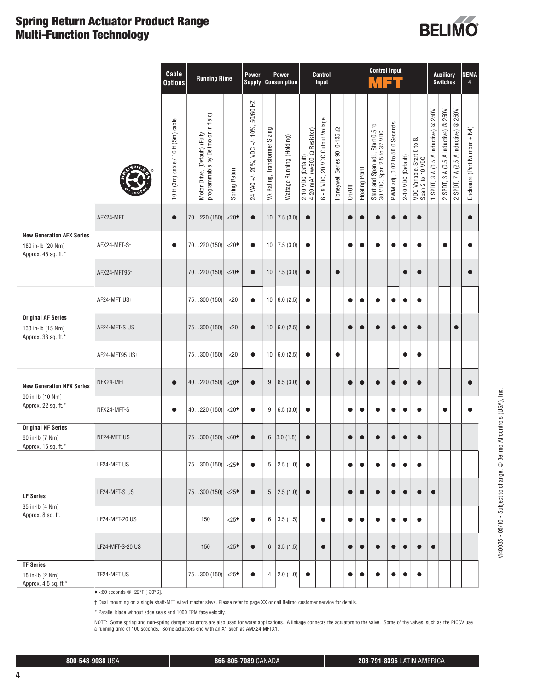### **Spring Return Actuator Product Range Multi-Function Technology**



|                                                                              |                  | Cable<br><b>Options</b>             | <b>Running Rime</b>                                                  |               | Power<br><b>Supply</b>                |                               | <b>Power</b><br><b>Consumption</b> |                                                   | Control<br>Input                        |                              |           |                | <b>Control Input</b><br>VET                                     |                                |                    |                                                 |                                                       | <b>Auxiliary</b><br><b>Switches</b>                  |                                                                   | <b>NEMA</b><br>4             |
|------------------------------------------------------------------------------|------------------|-------------------------------------|----------------------------------------------------------------------|---------------|---------------------------------------|-------------------------------|------------------------------------|---------------------------------------------------|-----------------------------------------|------------------------------|-----------|----------------|-----------------------------------------------------------------|--------------------------------|--------------------|-------------------------------------------------|-------------------------------------------------------|------------------------------------------------------|-------------------------------------------------------------------|------------------------------|
|                                                                              |                  | 10 ft (3m) cable / 16 ft (5m) cable | Motor Drive, (Default) (Fully<br>programmable by Belimo or in field) | Spring Return | 24 VAC +/- 20%, VDC +/- 10%, 50/60 HZ | VA Rating, Transformer Sizing | Wattage Running (Holding)          | 2-10 VDC (Default)<br>4-20 mA* (h/500 Ω Resistor) | 9 VDC, 20 VDC Output Voltage<br>$\circ$ | Honeywell Series 90, 0-135 Ω | On/Off    | Floating Point | Start and Span adj., Start 0.5 to<br>30 VDC, Span 2.5 to 32 VDC | PWM adj., 0.02 to 50.0 Seconds | 2-10 VDC (Default) | VDC Variable, Start 0 to 8,<br>Span 2 to 10 VDC | 250V<br>$\circledcirc$<br>SPDT, 3 A (0.5 A inductive) | $@$ 250V<br>3 A (0.5 A inductive)<br>SPDT,<br>$\sim$ | 250V<br>$^\copyright$<br>7 A (2.5 A inductive)<br>SPDT,<br>$\sim$ | Enclosure (Part Number + N4) |
|                                                                              | AFX24-MFT+       | $\bullet$                           | 70220 (150)                                                          | < 20          | $\bullet$                             |                               | $10$ 7.5 (3.0)                     | $\bullet$                                         |                                         |                              | $\bullet$ | $\bullet$      | $\bullet$                                                       | $\bullet$                      | $\bullet$          |                                                 |                                                       |                                                      |                                                                   |                              |
| <b>New Generation AFX Series</b><br>180 in-lb [20 Nm]<br>Approx. 45 sq. ft.* | AFX24-MFT-St     | $\bullet$                           | 70220 (150)                                                          | < 20          | $\bullet$                             |                               | $10$   7.5 (3.0)                   | $\bullet$                                         |                                         |                              | $\bullet$ | $\bullet$      | ●                                                               | $\bullet$                      | $\bullet$          |                                                 |                                                       | $\bullet$                                            |                                                                   | $\bullet$                    |
|                                                                              | AFX24-MFT95t     |                                     | 70220(150)                                                           | < 20          | $\bullet$                             |                               | $10$ 7.5 (3.0)                     | $\bullet$                                         |                                         | $\bullet$                    |           |                |                                                                 |                                | $\bullet$          |                                                 |                                                       |                                                      |                                                                   |                              |
|                                                                              | AF24-MFT US+     |                                     | 75300 (150)                                                          | $<$ 20        | $\bullet$                             |                               | 10   6.0 (2.5)                     | $\bullet$                                         |                                         |                              |           |                |                                                                 |                                | $\bullet$          |                                                 |                                                       |                                                      |                                                                   |                              |
| <b>Original AF Series</b><br>133 in-lb [15 Nm]<br>Approx. 33 sq. ft.*        | AF24-MFT-S USt   |                                     | 75300(150)                                                           | < 20          | $\bullet$                             |                               | 10   6.0 (2.5)                     | $\bullet$                                         |                                         |                              |           | $\bullet$      |                                                                 | $\bullet$                      | $\bullet$          |                                                 |                                                       |                                                      | ●                                                                 |                              |
|                                                                              | AF24-MFT95 US+   |                                     | 75300 (150)                                                          | < 20          | $\bullet$                             |                               | 10   6.0 (2.5)                     | $\bullet$                                         |                                         | $\bullet$                    |           |                |                                                                 |                                | $\bullet$          |                                                 |                                                       |                                                      |                                                                   |                              |
| <b>New Generation NFX Series</b>                                             | NFX24-MFT        | $\bullet$                           | 40220 (150)                                                          | $< 20*$       | $\bullet$                             | $\boldsymbol{9}$              | 6.5(3.0)                           | $\bullet$                                         |                                         |                              |           |                |                                                                 | ●                              |                    |                                                 |                                                       |                                                      |                                                                   |                              |
| 90 in-lb [10 Nm]<br>Approx. 22 sq. ft.*                                      | NFX24-MFT-S      | $\bullet$                           | 40220 (150)                                                          | < 20          | $\bullet$                             | 9                             | 6.5(3.0)                           | $\bullet$                                         |                                         |                              | $\bullet$ | $\bullet$      |                                                                 | ●                              | $\bullet$          |                                                 |                                                       | $\bullet$                                            |                                                                   | $\bullet$                    |
| <b>Original NF Series</b><br>60 in-lb [7 Nm]<br>Approx. 15 sq. ft.*          | NF24-MFT US      |                                     | 75300 (150)                                                          | $<60*$        | $\bullet$                             | $6\phantom{.0}$               | 3.0(1.8)                           | $\bullet$                                         |                                         |                              | $\bullet$ |                |                                                                 | $\bullet$                      | $\bullet$          |                                                 |                                                       |                                                      |                                                                   |                              |
|                                                                              | LF24-MFT US      |                                     | 75300 (150)                                                          | < 25          | $\bullet$                             | $5\,$                         | 2.5(1.0)                           | $\bullet$                                         |                                         |                              | $\bullet$ | $\bullet$      | e                                                               | $\bullet$                      | $\bullet$          |                                                 |                                                       |                                                      |                                                                   |                              |
| <b>LF Series</b>                                                             | LF24-MFT-S US    |                                     | 75300 (150)                                                          | < 25          | $\bullet$                             | $5\phantom{.0}$               | 2.5(1.0)                           | $\bullet$                                         |                                         |                              | $\bullet$ | ●              | $\bullet$                                                       | $\bullet$                      | $\bullet$          |                                                 |                                                       |                                                      |                                                                   |                              |
| 35 in-lb [4 Nm]<br>Approx. 8 sq. ft.                                         | LF24-MFT-20 US   |                                     | 150                                                                  | < 25          | $\bullet$                             | 6                             | 3.5(1.5)                           |                                                   | $\bullet$                               |                              |           |                |                                                                 |                                | $\bullet$          |                                                 |                                                       |                                                      |                                                                   |                              |
|                                                                              | LF24-MFT-S-20 US |                                     | 150                                                                  | < 25          | $\bullet$                             | $6\,$                         | 3.5(1.5)                           |                                                   | $\bullet$                               |                              | $\bullet$ | $\bullet$      | $\bullet$                                                       | $\bullet$                      | $\bullet$          |                                                 | $\bullet$                                             |                                                      |                                                                   |                              |
| <b>TF Series</b><br>18 in-lb [2 Nm]<br>Approx. 4.5 sq. ft.*                  | TF24-MFT US      |                                     | 75300(150)                                                           | < 25          | $\bullet$                             | 4                             | 2.0(1.0)                           | $\bullet$                                         |                                         |                              |           |                | e                                                               | $\bullet$                      | $\bullet$          |                                                 |                                                       |                                                      |                                                                   |                              |

♦ <60 seconds @ -22°F [-30°C].

† Dual mounting on a single shaft-MFT wired master slave. Please refer to page XX or call Belimo customer service for details.

\* Parallel blade without edge seals and 1000 FPM face velocity.

NOTE: Some spring and non-spring damper actuators are also used for water applications. A linkage connects the actuators to the valve. Some of the valves, such as the PICCV use<br>a running time of 100 seconds. Some actuators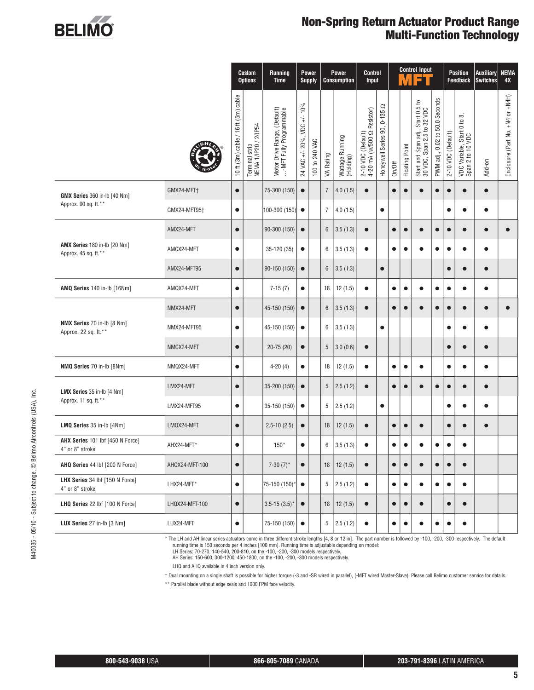

### **Non-Spring Return Actuator Product Range Multi-Function Technology**

|                                                             |                |                                     | <b>Custom</b><br><b>Options</b>        | <b>Running</b><br><b>Time</b>                            | <b>Supply</b>               | Power          |                | <b>Power</b><br><b>Consumption</b> | <b>Control</b><br>Input                          |                                        |           | M              | <b>Control Input</b>                                                            |                                                      |                    | <b>Position</b><br><b>Feedback</b>                       | <b>Auxiliary</b><br><b>Switches</b> | <b>NEMA</b><br>4X                |
|-------------------------------------------------------------|----------------|-------------------------------------|----------------------------------------|----------------------------------------------------------|-----------------------------|----------------|----------------|------------------------------------|--------------------------------------------------|----------------------------------------|-----------|----------------|---------------------------------------------------------------------------------|------------------------------------------------------|--------------------|----------------------------------------------------------|-------------------------------------|----------------------------------|
|                                                             |                | 10 ft (3m) cable / 16 ft (5m) cable | Terminal strip<br>NEMA 1/IP20 / 2/IP54 | Motor Drive Range, (Default)<br>…-MFT Fully Programmable | 24 VAC +/- 20%, VDC +/- 10% | 100 to 240 VAC | VA Rating      | Wattage Running<br>(Holding)       | 2-10 VDC (Default)<br>4-20 mA (w/500 Ω Resistor) | q<br>$0 - 135$<br>Honeywell Series 90, | On/Off    | Floating Point | ij., Start 0.5 to<br>5 to 32 VDC<br>Start and Span adj.,<br>30 VDC, Span 2.5 tc | Seconds<br>50.0<br>$\mathsf{D}$<br>0.02<br>PWM adj., | 2-10 VDC (Default) | $\infty$<br>VDC Variable, Start 0 to<br>Span 2 to 10 VDC | Add-on                              | Enclosure (Part No. +N4 or +N4H) |
| GMX Series 360 in-lb [40 Nm]                                | GMX24-MFT+     | $\bullet$                           |                                        | 75-300 (150)                                             | $\bullet$                   |                | 7              | 4.0(1.5)                           | $\bullet$                                        |                                        | $\bullet$ | $\bullet$      |                                                                                 | O                                                    | $\bullet$          | $\bullet$                                                |                                     |                                  |
| Approx. 90 sq. ft.**                                        | GMX24-MFT95†   | $\bullet$                           |                                        | 100-300 (150)                                            | $\bullet$                   |                | $\overline{7}$ | 4.0(1.5)                           |                                                  | $\bullet$                              |           |                |                                                                                 |                                                      | $\bullet$          | $\bullet$                                                |                                     |                                  |
|                                                             | AMX24-MFT      | $\bullet$                           |                                        | 90-300 (150)                                             | $\bullet$                   |                | 6              | 3.5(1.3)                           | $\bullet$                                        |                                        | $\bullet$ | $\bullet$      |                                                                                 | 0                                                    | $\bullet$          | $\bullet$                                                |                                     |                                  |
| <b>AMX Series 180 in-lb [20 Nm]</b><br>Approx. 45 sq. ft.** | AMCX24-MFT     | $\bullet$                           |                                        | 35-120 (35)                                              | $\bullet$                   |                | 6              | 3.5(1.3)                           | $\bullet$                                        |                                        | $\bullet$ | $\bullet$      | $\bullet$                                                                       | $\bullet$                                            | $\bullet$          | $\bullet$                                                | $\bullet$                           |                                  |
|                                                             | AMX24-MFT95    | $\bullet$                           |                                        | 90-150 (150)                                             | $\bullet$                   |                | 6              | 3.5(1.3)                           |                                                  | $\bullet$                              |           |                |                                                                                 |                                                      | $\bullet$          | $\bullet$                                                | $\bullet$                           |                                  |
| AMQ Series 140 in-lb [16Nm]                                 | AMQX24-MFT     | $\bullet$                           |                                        | $7-15(7)$                                                | $\bullet$                   |                | 18             | 12(1.5)                            | $\bullet$                                        |                                        | $\bullet$ | $\bullet$      |                                                                                 | e                                                    | $\bullet$          | $\bullet$                                                |                                     |                                  |
|                                                             | NMX24-MFT      | $\bullet$                           |                                        | 45-150 (150)                                             | $\bullet$                   |                | 6              | 3.5(1.3)                           | $\bullet$                                        |                                        | $\bullet$ | $\bullet$      |                                                                                 | O                                                    | $\bullet$          | $\bullet$                                                |                                     |                                  |
| NMX Series 70 in-lb [8 Nm]<br>Approx. 22 sq. ft.**          | NMX24-MFT95    | $\bullet$                           |                                        | 45-150 (150)                                             | $\bullet$                   |                | 6              | 3.5(1.3)                           |                                                  | $\bullet$                              |           |                |                                                                                 |                                                      |                    | $\bullet$                                                | $\bullet$                           |                                  |
|                                                             | NMCX24-MFT     | $\bullet$                           |                                        | $20-75(20)$                                              | $\bullet$                   |                | 5              | 3.0(0.6)                           | $\bullet$                                        |                                        |           |                |                                                                                 |                                                      | $\bullet$          | $\bullet$                                                | $\bullet$                           |                                  |
| NMQ Series 70 in-lb [8Nm]                                   | NMQX24-MFT     | $\bullet$                           |                                        | $4-20(4)$                                                | $\bullet$                   |                | 18             | 12(1.5)                            | $\bullet$                                        |                                        | $\bullet$ | $\bullet$      |                                                                                 |                                                      | $\bullet$          | $\bullet$                                                |                                     |                                  |
| LMX Series 35 in-lb [4 Nm]                                  | LMX24-MFT      | $\bullet$                           |                                        | 35-200 (150)                                             | $\bullet$                   |                | 5              | 2.5(1.2)                           | $\bullet$                                        |                                        | $\bullet$ | $\bullet$      |                                                                                 |                                                      | $\bullet$          | $\bullet$                                                | $\bullet$                           |                                  |
| Approx. 11 sq. ft.**                                        | LMX24-MFT95    | $\bullet$                           |                                        | 35-150 (150)                                             | $\bullet$                   |                | 5              | 2.5(1.2)                           |                                                  | $\bullet$                              |           |                |                                                                                 |                                                      |                    | $\bullet$                                                | $\bullet$                           |                                  |
| LMQ Series 35 in-lb [4Nm]                                   | LMQX24-MFT     | $\bullet$                           |                                        | $2.5 - 10(2.5)$                                          | $\bullet$                   |                | 18             | 12(1.5)                            | $\bullet$                                        |                                        | $\bullet$ | $\bullet$      | $\bullet$                                                                       |                                                      | $\bullet$          | $\bullet$                                                | $\bullet$                           |                                  |
| AHX Series 101 lbf [450 N Force]<br>4" or 8" stroke         | AHX24-MFT*     | $\bullet$                           |                                        | $150*$                                                   | $\bullet$                   |                | 6              | 3.5(1.3)                           | $\bullet$                                        |                                        | $\bullet$ | $\bullet$      |                                                                                 |                                                      | $\bullet$          | $\bullet$                                                |                                     |                                  |
| AHQ Series 44 lbf [200 N Force]                             | AHQX24-MFT-100 | $\bullet$                           |                                        | 7-30 $(7)^*$                                             | $\bullet$                   |                | 18             | 12(1.5)                            | $\bullet$                                        |                                        | $\bullet$ | $\bullet$      | $\bullet$                                                                       | $\bullet$                                            | $\bullet$          | $\bullet$                                                |                                     |                                  |
| LHX Series 34 lbf [150 N Force]<br>4" or 8" stroke          | LHX24-MFT*     | $\bullet$                           |                                        | 75-150 (150)*                                            | $\bullet$                   |                |                | $5$ 2.5 (1.2)                      | $\bullet$                                        |                                        | $\bullet$ | $\bullet$      | $\bullet$                                                                       | $\bullet$                                            | $\bullet$          | $\bullet$                                                |                                     |                                  |
| LHQ Series 22 lbf [100 N Force]                             | LHQX24-MFT-100 | $\bullet$                           |                                        | $3.5 - 15(3.5)^*$                                        | $\bullet$                   |                | 18             | 12(1.5)                            | $\bullet$                                        |                                        | $\bullet$ | $\bullet$      | $\bullet$                                                                       |                                                      | $\bullet$          | $\bullet$                                                |                                     |                                  |
| LUX Series 27 in-lb [3 Nm]                                  | LUX24-MFT      | $\bullet$                           |                                        | 75-150 (150)                                             | $\bullet$                   |                | 5 <sup>1</sup> | 2.5(1.2)                           | $\bullet$                                        |                                        | $\bullet$ | $\bullet$      |                                                                                 | $\bullet$                                            | $\bullet$          | $\bullet$                                                |                                     |                                  |

\* The LH and AH linear series actuators come in three different stroke lengths [4, 8 or 12 in]. The part number is followed by -100, -200, -300 respectively. The default running time is 150 seconds per 4 inches [100 mm]. R

LH Series: 70-270, 140-540, 200-810, on the -100, -200, -300 models respectively.

AH Series: 150-600, 300-1200, 450-1800, on the -100, -200, -300 models respectively.

LHQ and AHQ available in 4 inch version only.

† Dual mounting on a single shaft is possible for higher torque (-3 and -SR wired in parallel), (-MFT wired Master-Slave). Please call Belimo customer service for details.

\*\* Parallel blade without edge seals and 1000 FPM face velocity.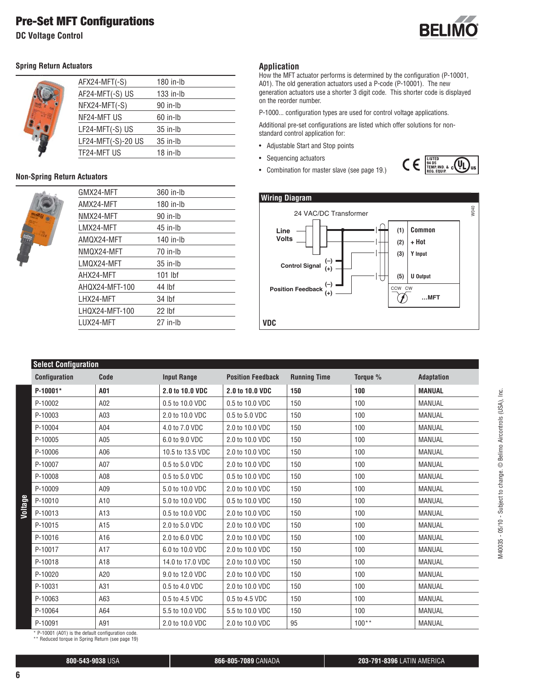**DC Voltage Control**



#### **Spring Return Actuators**

|  | AFX24-MFT(-S)      | 180 in-lb   |
|--|--------------------|-------------|
|  | AF24-MFT(-S) US    | $133$ in-lb |
|  | NFX24-MFT(-S)      | 90 in-lb    |
|  | NF24-MFT US        | $60$ in-Ib  |
|  | LF24-MFT(-S) US    | $35$ in-lb  |
|  | LF24-MFT(-S)-20 US | $35$ in-lb  |
|  | TF24-MFT US        | $18$ in-Ib  |
|  |                    |             |

#### **Non-Spring Return Actuators**



| GMX24-MFT      | 360 in-lb  |
|----------------|------------|
| AMX24-MFT      | 180 in-Ib  |
| NMX24-MFT      | 90 in-Ib   |
| LMX24-MFT      | $45$ in-Ib |
| AMQX24-MFT     | 140 in-lb  |
| NMQX24-MFT     | 70 in-Ib   |
| LMQX24-MFT     | $35$ in-Ib |
| AHX24-MFT      | $101$ lbf  |
| AHQX24-MFT-100 | 44 lbf     |
| LHX24-MFT      | 34 lbf     |
| LHQX24-MFT-100 | $22$ lbf   |
| LUX24-MFT      | 27 in-Ih   |
|                |            |

#### **Application**

How the MFT actuator performs is determined by the configuration (P-10001, A01). The old generation actuators used a P-code (P-10001). The new generation actuators use a shorter 3 digit code. This shorter code is displayed on the reorder number.

P-1000... configuration types are used for control voltage applications.

Additional pre-set configurations are listed which offer solutions for nonstandard control application for:

- Adjustable Start and Stop points
- Sequencing actuators
- Combination for master slave (see page 19.)





#### **Select Configuration**

| <b>OUIGUL OUIIIIYULUULU</b>                       |      |                    |                          |                     |          |               |
|---------------------------------------------------|------|--------------------|--------------------------|---------------------|----------|---------------|
| <b>Configuration</b>                              | Code | <b>Input Range</b> | <b>Position Feedback</b> | <b>Running Time</b> | Torque % | Adaptation    |
| P-10001*                                          | A01  | 2.0 to 10.0 VDC    | 2.0 to 10.0 VDC          | 150                 | 100      | <b>MANUAL</b> |
| P-10002                                           | A02  | 0.5 to 10.0 VDC    | 0.5 to 10.0 VDC          | 150                 | 100      | MANUAL        |
| P-10003                                           | A03  | 2.0 to 10.0 VDC    | 0.5 to 5.0 VDC           | 150                 | 100      | MANUAL        |
| P-10004                                           | A04  | 4.0 to 7.0 VDC     | 2.0 to 10.0 VDC          | 150                 | 100      | <b>MANUAL</b> |
| P-10005                                           | A05  | 6.0 to 9.0 VDC     | 2.0 to 10.0 VDC          | 150                 | 100      | MANUAL        |
| P-10006                                           | A06  | 10.5 to 13.5 VDC   | 2.0 to 10.0 VDC          | 150                 | 100      | MANUAL        |
| P-10007                                           | A07  | 0.5 to 5.0 VDC     | 2.0 to 10.0 VDC          | 150                 | 100      | MANUAL        |
| P-10008                                           | A08  | 0.5 to 5.0 VDC     | 0.5 to 10.0 VDC          | 150                 | 100      | <b>MANUAL</b> |
| P-10009                                           | A09  | 5.0 to 10.0 VDC    | 2.0 to 10.0 VDC          | 150                 | 100      | MANUAL        |
| P-10010                                           | A10  | 5.0 to 10.0 VDC    | 0.5 to 10.0 VDC          | 150                 | 100      | MANUAL        |
| P-10013                                           | A13  | 0.5 to 10.0 VDC    | 2.0 to 10.0 VDC          | 150                 | 100      | MANUAL        |
| P-10015                                           | A15  | 2.0 to 5.0 VDC     | 2.0 to 10.0 VDC          | 150                 | 100      | MANUAL        |
| P-10016                                           | A16  | 2.0 to 6.0 VDC     | 2.0 to 10.0 VDC          | 150                 | 100      | MANUAL        |
| P-10017                                           | A17  | 6.0 to 10.0 VDC    | 2.0 to 10.0 VDC          | 150                 | 100      | MANUAL        |
| P-10018                                           | A18  | 14.0 to 17.0 VDC   | 2.0 to 10.0 VDC          | 150                 | 100      | MANUAL        |
| P-10020                                           | A20  | 9.0 to 12.0 VDC    | 2.0 to 10.0 VDC          | 150                 | 100      | MANUAL        |
| P-10031                                           | A31  | 0.5 to 4.0 VDC     | 2.0 to 10.0 VDC          | 150                 | 100      | MANUAL        |
| P-10063                                           | A63  | 0.5 to 4.5 VDC     | 0.5 to 4.5 VDC           | 150                 | 100      | MANUAL        |
| P-10064                                           | A64  | 5.5 to 10.0 VDC    | 5.5 to 10.0 VDC          | 150                 | 100      | MANUAL        |
| P-10091                                           | A91  | 2.0 to 10.0 VDC    | 2.0 to 10.0 VDC          | 95                  | $100**$  | MANUAL        |
| * P-10001 (A01) is the default configuration code |      |                    |                          |                     |          |               |

\* P-10001 (A01) is the default configuration code. \*\* Reduced torque in Spring Return (see page 19)

**6**

**Voltage**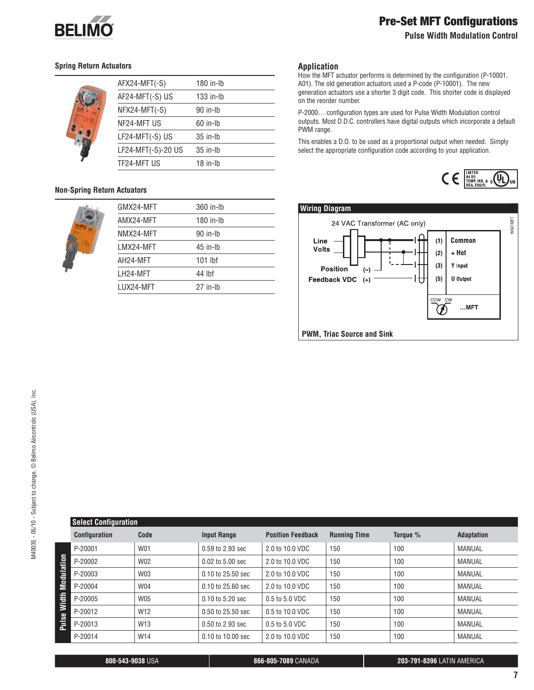

#### **Pulse Width Modulation Control**

#### **Spring Return Actuators**

|  | AFX24-MFT(-S)      | 180 in-lb   |
|--|--------------------|-------------|
|  | AF24-MFT(-S) US    | $133$ in-lb |
|  | NFX24-MFT(-S)      | $90$ in-Ib  |
|  | NF24-MFT US        | $60$ in-Ib  |
|  | LF24-MFT(-S) US    | $35$ in-Ib  |
|  | LF24-MFT(-S)-20 US | $35$ in-Ib  |
|  | TF24-MFT US        | $18$ in-Ib  |
|  |                    |             |

#### **Non-Spring Return Actuators**

| GMX24-MFT | 360 in-lb  |
|-----------|------------|
| AMX24-MFT | 180 in-lb  |
| NMX24-MFT | $90$ in-Ib |
| LMX24-MFT | $45$ in-Ib |
| AH24-MFT  | $101$ lbf  |
| LH24-MFT  | 44 lbf     |
| LUX24-MFT | $27$ in-Ib |
|           |            |

#### **Application**

How the MFT actuator performs is determined by the configuration (P-10001, A01). The old generation actuators used a P-code (P-10001). The new generation actuators use a shorter 3 digit code. This shorter code is displayed on the reorder number.

P-2000… configuration types are used for Pulse Width Modulation control outputs. Most D.D.C. controllers have digital outputs which incorporate a default PWM range.

This enables a D.O. to be used as a proportional output when needed. Simply select the appropriate configuration code according to your application.





|              | <b>Select Configuration</b> |                 |                       |                          |                     |          |                   |
|--------------|-----------------------------|-----------------|-----------------------|--------------------------|---------------------|----------|-------------------|
|              | <b>Configuration</b>        | Code            | <b>Input Range</b>    | <b>Position Feedback</b> | <b>Running Time</b> | Torque % | <b>Adaptation</b> |
|              | P-20001                     | W01             | 0.59 to 2.93 sec      | 2.0 to 10.0 VDC          | 150                 | 100      | MANUAL            |
| Modulation   | P-20002                     | W02             | $0.02$ to $5.00$ sec  | 2.0 to 10.0 VDC          | 150                 | 100      | MANUAL            |
|              | P-20003                     | W03             | 0.10 to 25.50 sec     | 2.0 to 10.0 VDC          | 150                 | 100      | MANUAL            |
|              | P-20004                     | W04             | $0.10$ to $25.60$ sec | 2.0 to 10.0 VDC          | 150                 | 100      | MANUAL            |
| Ē            | P-20005                     | <b>W05</b>      | 0.10 to 5.20 sec      | 0.5 to 5.0 VDC           | 150                 | 100      | MANUAL            |
| 3            | P-20012                     | W <sub>12</sub> | $0.50$ to $25.50$ sec | 0.5 to 10.0 VDC          | 150                 | 100      | MANUAL            |
| <b>Pulse</b> | P-20013                     | W <sub>13</sub> | 0.50 to 2.93 sec      | 0.5 to 5.0 VDC           | 150                 | 100      | MANUAL            |
|              | P-20014                     | W14             | 0.10 to 10.00 sec     | 2.0 to 10.0 VDC          | 150                 | 100      | MANUAL            |

**800-543-9038** USA **866-805-7089** CANADA **203-791-8396** LATIN AMERICA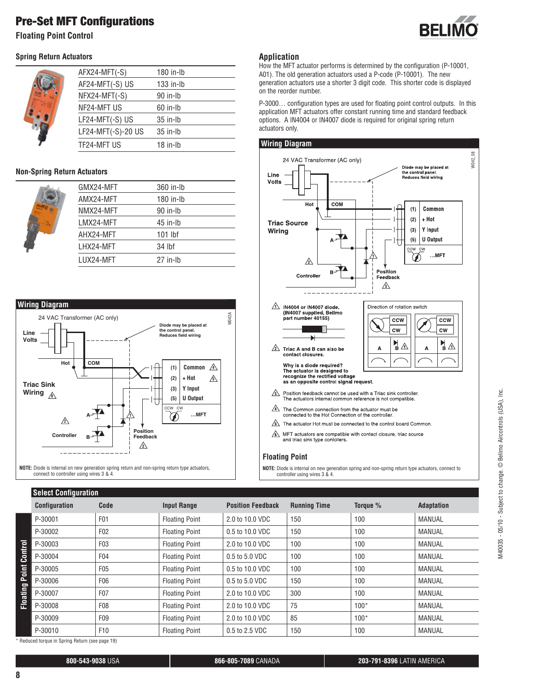**Floating Point Control**

#### **Spring Return Actuators**



| AFX24-MFT(-S)      | 180 in-lb   |
|--------------------|-------------|
| AF24-MFT(-S) US    | $133$ in-lb |
| $NFX24-MFT(-S)$    | $90$ in-Ib  |
| NF24-MFT US        | $60$ in-Ib  |
| LF24-MFT(-S) US    | $35$ in-lb  |
| LF24-MFT(-S)-20 US | $35$ in-Ib  |
| TF24-MFT US        | $18$ in-lb  |

#### **Non-Spring Return Actuators**



| GMX24-MFT  | 360 in-lb  |
|------------|------------|
| AMX24-MFT  | 180 in-lb  |
| NMX24-MFT  | 90 in-Ib   |
| I MX24-MFT | $45$ in-Ib |
| AHX24-MFT  | 101 lbf    |
| I HX24-MFT | 34 lbf     |
| I UX24-MFT | 27 in-lh   |





### **Application**

How the MFT actuator performs is determined by the configuration (P-10001, A01). The old generation actuators used a P-code (P-10001). The new generation actuators use a shorter 3 digit code. This shorter code is displayed on the reorder number.

P-3000… configuration types are used for floating point control outputs. In this application MFT actuators offer constant running time and standard feedback options. A IN4004 or IN4007 diode is required for original spring return actuators only.



 $\sqrt{6}$  MFT actuators are compatible with contact closure, triac source and triac sink type contollers.

#### **Floating Point**

**NOTE:** Diode is internal on new generation spring and non-spring return type actuators, connect to controller using wires 3 & 4.

|          | <b>Select Configuration</b> |                  |                       |                          |                     |          |                   |
|----------|-----------------------------|------------------|-----------------------|--------------------------|---------------------|----------|-------------------|
|          | <b>Configuration</b>        | Code             | <b>Input Range</b>    | <b>Position Feedback</b> | <b>Running Time</b> | Toraue % | <b>Adaptation</b> |
|          | P-30001                     | F <sub>0</sub> 1 | <b>Floating Point</b> | 2.0 to 10.0 VDC          | 150                 | 100      | <b>MANUAL</b>     |
|          | P-30002                     | F <sub>02</sub>  | <b>Floating Point</b> | 0.5 to 10.0 VDC          | 150                 | 100      | <b>MANUAL</b>     |
|          | P-30003                     | F03              | <b>Floating Point</b> | 2.0 to 10.0 VDC          | 100                 | 100      | <b>MANUAL</b>     |
| Control  | P-30004                     | F04              | <b>Floating Point</b> | 0.5 to 5.0 VDC           | 100                 | 100      | <b>MANUAL</b>     |
| Point    | P-30005                     | F <sub>0</sub> 5 | <b>Floating Point</b> | 0.5 to 10.0 VDC          | 100                 | 100      | <b>MANUAL</b>     |
|          | P-30006                     | F06              | <b>Floating Point</b> | 0.5 to 5.0 VDC           | 150                 | 100      | <b>MANUAL</b>     |
| Floating | P-30007                     | F <sub>0</sub> 7 | <b>Floating Point</b> | 2.0 to 10.0 VDC          | 300                 | 100      | <b>MANUAL</b>     |
|          | P-30008                     | F08              | <b>Floating Point</b> | 2.0 to 10.0 VDC          | 75                  | $100*$   | <b>MANUAL</b>     |
|          | P-30009                     | F09              | <b>Floating Point</b> | 2.0 to 10.0 VDC          | 85                  | $100*$   | <b>MANUAL</b>     |
|          | P-30010                     | F10              | <b>Floating Point</b> | 0.5 to 2.5 VDC           | 150                 | 100      | <b>MANUAL</b>     |

\* Reduced torque in Spring Return (see page 19)

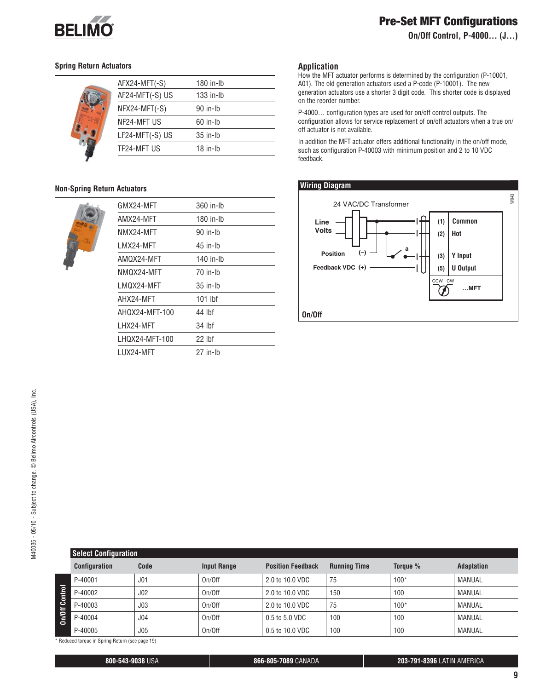

**On/Off Control, P-4000… (J…)**

#### **Spring Return Actuators**



|  | AFX24-MFT(-S)   | 180 in-lb   |
|--|-----------------|-------------|
|  | AF24-MFT(-S) US | $133$ in-lb |
|  | NFX24-MFT(-S)   | 90 in-Ib    |
|  | NF24-MFT US     | $60$ in-Ib  |
|  | LF24-MFT(-S) US | $35$ in-Ib  |
|  | TF24-MFT US     | $18$ in-lb  |
|  |                 |             |

#### **Non-Spring Return Actuators**



| GMX24-MFT      | 360 in-Ib |
|----------------|-----------|
| AMX24-MFT      | 180 in-Ib |
| NMX24-MFT      | 90 in-Ih  |
| I MX24-MFT     | 45 in-Ib  |
| AMQX24-MFT     | 140 in-lb |
| NMQX24-MFT     | 70 in-lh  |
| I MOX24-MFT    | 35 in-lh  |
| AHX24-MFT      | 101 lbf   |
| AHQX24-MFT-100 | 44 lbf    |
| LHX24-MFT      | 34 lbf    |
| LHQX24-MFT-100 | 22 lbf    |
| I UX24-MFT     | 27 in-Ib  |

#### **Application**

How the MFT actuator performs is determined by the configuration (P-10001, A01). The old generation actuators used a P-code (P-10001). The new generation actuators use a shorter 3 digit code. This shorter code is displayed on the reorder number.

P-4000… configuration types are used for on/off control outputs. The configuration allows for service replacement of on/off actuators when a true on/ off actuator is not available.

In addition the MFT actuator offers additional functionality in the on/off mode, such as configuration P-40003 with minimum position and 2 to 10 VDC feedback.

#### **Wiring Diagram**



|         | <b>Select Configuration</b> |                 |                    |                          |                     |          |                   |
|---------|-----------------------------|-----------------|--------------------|--------------------------|---------------------|----------|-------------------|
|         | <b>Configuration</b>        | Code            | <b>Input Range</b> | <b>Position Feedback</b> | <b>Running Time</b> | Torque % | <b>Adaptation</b> |
|         | P-40001                     | J <sub>01</sub> | On/Off             | 2.0 to 10.0 VDC          | 75                  | $100*$   | MANUAL            |
| Control | P-40002                     | J <sub>02</sub> | On/Off             | 2.0 to 10.0 VDC          | 150                 | 100      | MANUAL            |
|         | P-40003                     | J <sub>03</sub> | On/Off             | 2.0 to 10.0 VDC          | 75                  | $100*$   | MANUAL            |
| On/Off  | P-40004                     | J <sub>04</sub> | On/Off             | 0.5 to 5.0 VDC           | 100                 | 100      | MANUAL            |
|         | P-40005                     | J05             | On/Off             | 0.5 to 10.0 VDC          | 100                 | 100      | MANUAL            |

\* Reduced torque in Spring Return (see page 19)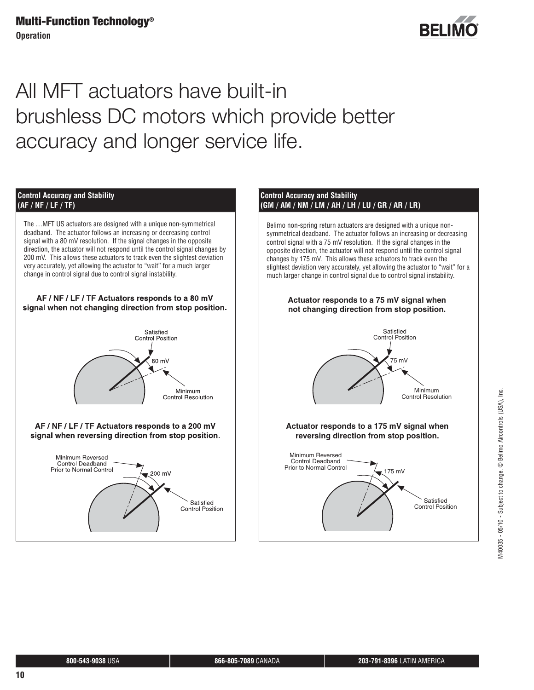**Operation** 



# All MFT actuators have built-in brushless DC motors which provide better accuracy and longer service life.



The …MFT US actuators are designed with a unique non-symmetrical deadband. The actuator follows an increasing or decreasing control signal with a 80 mV resolution. If the signal changes in the opposite direction, the actuator will not respond until the control signal changes by 200 mV. This allows these actuators to track even the slightest deviation very accurately, yet allowing the actuator to "wait" for a much larger change in control signal due to control signal instability.

#### AF / NF / LF / TF Actuators responds to a 80 mV signal when not changing direction from stop position.



#### AF / NF / LF / TF Actuators responds to a 200 mV signal when reversing direction from stop position.



#### **Control Accuracy and Stability (GM / AM / NM / LM / AH / LH / LU / GR / AR / LR)**

Belimo non-spring return actuators are designed with a unique nonsymmetrical deadband. The actuator follows an increasing or decreasing control signal with a 75 mV resolution. If the signal changes in the opposite direction, the actuator will not respond until the control signal changes by 175 mV. This allows these actuators to track even the slightest deviation very accurately, yet allowing the actuator to "wait" for a much larger change in control signal due to control signal instability.

#### **Actuator responds to a 75 mV signal when not changing direction from stop position.**



#### **Actuator responds to a 175 mV signal when reversing direction from stop position.**



 M40035 - 05/10 - Subject to change. © Belimo Aircontrols (USA), Inc.VI40035 - 05/10 - Subject to change. © Belimo Aircontrols (USA), Inc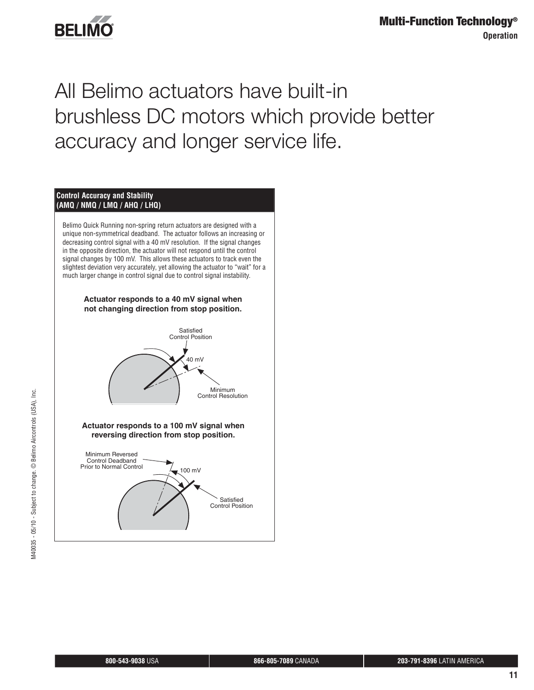

# All Belimo actuators have built-in brushless DC motors which provide better accuracy and longer service life.

#### **Control Accuracy and Stability (AMQ / NMQ / LMQ / AHQ / LHQ)**

Belimo Quick Running non-spring return actuators are designed with a unique non-symmetrical deadband. The actuator follows an increasing or decreasing control signal with a 40 mV resolution. If the signal changes in the opposite direction, the actuator will not respond until the control signal changes by 100 mV. This allows these actuators to track even the slightest deviation very accurately, yet allowing the actuator to "wait" for a much larger change in control signal due to control signal instability.



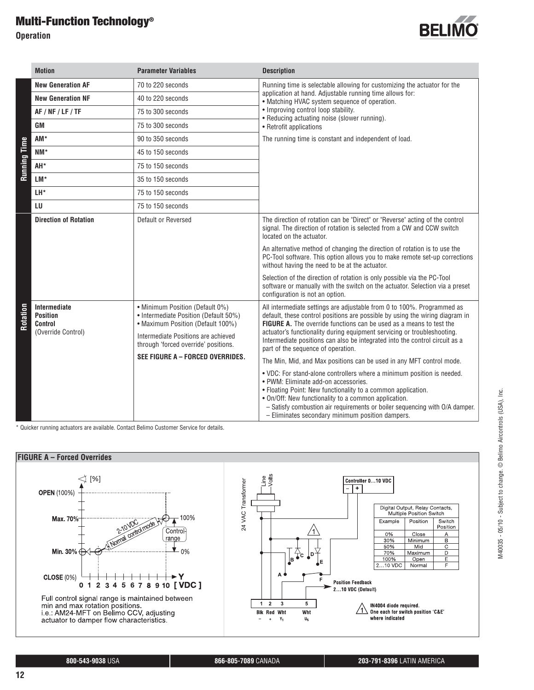**Operation** 



|                     | <b>Motion</b>                                                           | <b>Parameter Variables</b>                                                                                                                                                                   | <b>Description</b>                                                                                                                                                                                                                                                                                                                                                                                                            |
|---------------------|-------------------------------------------------------------------------|----------------------------------------------------------------------------------------------------------------------------------------------------------------------------------------------|-------------------------------------------------------------------------------------------------------------------------------------------------------------------------------------------------------------------------------------------------------------------------------------------------------------------------------------------------------------------------------------------------------------------------------|
|                     | <b>New Generation AF</b>                                                | 70 to 220 seconds                                                                                                                                                                            | Running time is selectable allowing for customizing the actuator for the                                                                                                                                                                                                                                                                                                                                                      |
|                     | <b>New Generation NF</b>                                                | 40 to 220 seconds                                                                                                                                                                            | application at hand. Adjustable running time allows for:<br>• Matching HVAC system sequence of operation.                                                                                                                                                                                                                                                                                                                     |
|                     | AF / NF / LF / TF                                                       | 75 to 300 seconds                                                                                                                                                                            | • Improving control loop stability.<br>• Reducing actuating noise (slower running).                                                                                                                                                                                                                                                                                                                                           |
|                     | <b>GM</b>                                                               | 75 to 300 seconds                                                                                                                                                                            | • Retrofit applications                                                                                                                                                                                                                                                                                                                                                                                                       |
|                     | AM*                                                                     | 90 to 350 seconds                                                                                                                                                                            | The running time is constant and independent of load.                                                                                                                                                                                                                                                                                                                                                                         |
| <b>Running Time</b> | NM*                                                                     | 45 to 150 seconds                                                                                                                                                                            |                                                                                                                                                                                                                                                                                                                                                                                                                               |
|                     | AH*                                                                     | 75 to 150 seconds                                                                                                                                                                            |                                                                                                                                                                                                                                                                                                                                                                                                                               |
|                     | LM*                                                                     | 35 to 150 seconds                                                                                                                                                                            |                                                                                                                                                                                                                                                                                                                                                                                                                               |
|                     | LH*                                                                     | 75 to 150 seconds                                                                                                                                                                            |                                                                                                                                                                                                                                                                                                                                                                                                                               |
|                     | LU                                                                      | 75 to 150 seconds                                                                                                                                                                            |                                                                                                                                                                                                                                                                                                                                                                                                                               |
|                     | <b>Direction of Rotation</b>                                            | Default or Reversed                                                                                                                                                                          | The direction of rotation can be "Direct" or "Reverse" acting of the control<br>signal. The direction of rotation is selected from a CW and CCW switch<br>located on the actuator.                                                                                                                                                                                                                                            |
|                     |                                                                         |                                                                                                                                                                                              | An alternative method of changing the direction of rotation is to use the<br>PC-Tool software. This option allows you to make remote set-up corrections<br>without having the need to be at the actuator.                                                                                                                                                                                                                     |
|                     |                                                                         |                                                                                                                                                                                              | Selection of the direction of rotation is only possible via the PC-Tool<br>software or manually with the switch on the actuator. Selection via a preset<br>configuration is not an option.                                                                                                                                                                                                                                    |
| Rotation            | <b>Intermediate</b><br><b>Position</b><br>Control<br>(Override Control) | • Minimum Position (Default 0%)<br>• Intermediate Position (Default 50%)<br>• Maximum Position (Default 100%)<br>Intermediate Positions are achieved<br>through 'forced override' positions. | All intermediate settings are adjustable from 0 to 100%. Programmed as<br>default, these control positions are possible by using the wiring diagram in<br>FIGURE A. The override functions can be used as a means to test the<br>actuator's functionality during equipment servicing or troubleshooting.<br>Intermediate positions can also be integrated into the control circuit as a<br>part of the sequence of operation. |
|                     |                                                                         | SEE FIGURE A - FORCED OVERRIDES.                                                                                                                                                             | The Min, Mid, and Max positions can be used in any MFT control mode.                                                                                                                                                                                                                                                                                                                                                          |
|                     |                                                                         |                                                                                                                                                                                              | . VDC: For stand-alone controllers where a minimum position is needed.<br>• PWM: Eliminate add-on accessories.<br>• Floating Point: New functionality to a common application.<br>. On/Off: New functionality to a common application.<br>- Satisfy combustion air requirements or boiler sequencing with O/A damper.<br>- Eliminates secondary minimum position dampers.                                                     |

\* Quicker running actuators are available. Contact Belimo Customer Service for details.

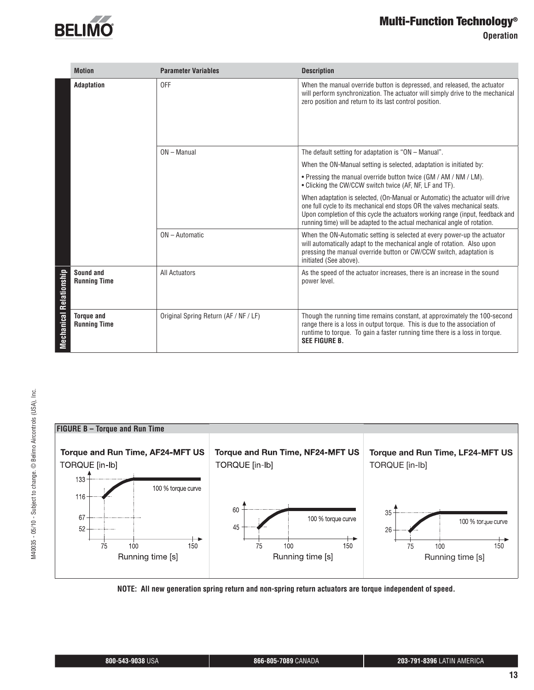

**Operation** 

|                         | <b>Motion</b>                            | <b>Parameter Variables</b>            | <b>Description</b>                                                                                                                                                                                                                                                                                                         |
|-------------------------|------------------------------------------|---------------------------------------|----------------------------------------------------------------------------------------------------------------------------------------------------------------------------------------------------------------------------------------------------------------------------------------------------------------------------|
|                         | Adaptation                               | 0FF                                   | When the manual override button is depressed, and released, the actuator<br>will perform synchronization. The actuator will simply drive to the mechanical<br>zero position and return to its last control position.                                                                                                       |
|                         |                                          | $ON - Manual$                         | The default setting for adaptation is "ON - Manual".                                                                                                                                                                                                                                                                       |
|                         |                                          |                                       | When the ON-Manual setting is selected, adaptation is initiated by:                                                                                                                                                                                                                                                        |
|                         |                                          |                                       | • Pressing the manual override button twice (GM / AM / NM / LM).<br>• Clicking the CW/CCW switch twice (AF, NF, LF and TF).                                                                                                                                                                                                |
|                         |                                          |                                       | When adaptation is selected, (On-Manual or Automatic) the actuator will drive<br>one full cycle to its mechanical end stops OR the valves mechanical seats.<br>Upon completion of this cycle the actuators working range (input, feedback and<br>running time) will be adapted to the actual mechanical angle of rotation. |
|                         |                                          | ON - Automatic                        | When the ON-Automatic setting is selected at every power-up the actuator<br>will automatically adapt to the mechanical angle of rotation. Also upon<br>pressing the manual override button or CW/CCW switch, adaptation is<br>initiated (See above).                                                                       |
| Mechanical Relationship | Sound and<br><b>Running Time</b>         | <b>All Actuators</b>                  | As the speed of the actuator increases, there is an increase in the sound<br>power level.                                                                                                                                                                                                                                  |
|                         | <b>Torque and</b><br><b>Running Time</b> | Original Spring Return (AF / NF / LF) | Though the running time remains constant, at approximately the 100-second<br>range there is a loss in output torque. This is due to the association of<br>runtime to torque. To gain a faster running time there is a loss in torque.<br><b>SEE FIGURE B.</b>                                                              |



**NOTE: All new generation spring return and non-spring return actuators are torque independent of speed.**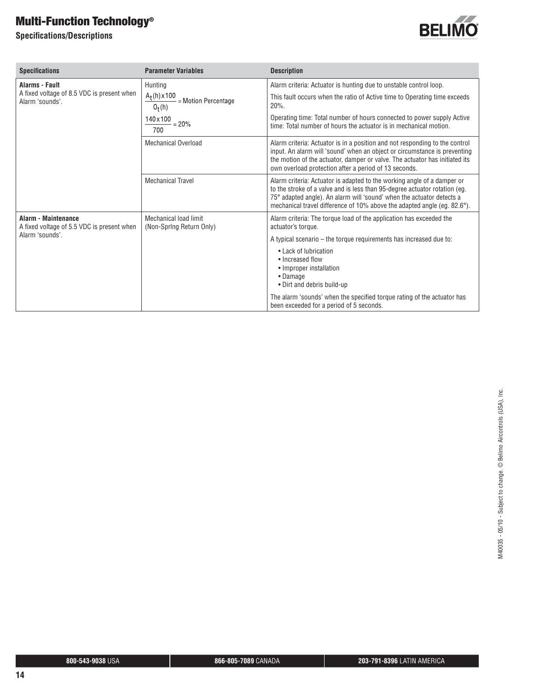**Specifi cations/Descriptions**



| <b>Specifications</b>                                             | <b>Parameter Variables</b>                                 | <b>Description</b>                                                                                                                                                                                                                                                                                         |
|-------------------------------------------------------------------|------------------------------------------------------------|------------------------------------------------------------------------------------------------------------------------------------------------------------------------------------------------------------------------------------------------------------------------------------------------------------|
| <b>Alarms - Fault</b>                                             | Hunting                                                    | Alarm criteria: Actuator is hunting due to unstable control loop.                                                                                                                                                                                                                                          |
| A fixed voltage of 8.5 VDC is present when<br>Alarm 'sounds'.     | $A_t(h) \times 100$<br>$-$ = Motion Percentage<br>$O_t(h)$ | This fault occurs when the ratio of Active time to Operating time exceeds<br>$20%$ .                                                                                                                                                                                                                       |
|                                                                   | $140 \times 100 = 20\%$<br>700                             | Operating time: Total number of hours connected to power supply Active<br>time: Total number of hours the actuator is in mechanical motion.                                                                                                                                                                |
|                                                                   | <b>Mechanical Overload</b>                                 | Alarm criteria: Actuator is in a position and not responding to the control<br>input. An alarm will 'sound' when an object or circumstance is preventing<br>the motion of the actuator, damper or valve. The actuator has initiated its<br>own overload protection after a period of 13 seconds.           |
|                                                                   | <b>Mechanical Travel</b>                                   | Alarm criteria: Actuator is adapted to the working angle of a damper or<br>to the stroke of a valve and is less than 95-degree actuator rotation (eg.<br>75° adapted angle). An alarm will 'sound' when the actuator detects a<br>mechanical travel difference of 10% above the adapted angle (eq. 82.6°). |
| Alarm - Maintenance<br>A fixed voltage of 5.5 VDC is present when | Mechanical load limit<br>(Non-Spring Return Only)          | Alarm criteria: The torque load of the application has exceeded the<br>actuator's torque.                                                                                                                                                                                                                  |
| Alarm 'sounds'.                                                   |                                                            | A typical scenario – the torque requirements has increased due to:                                                                                                                                                                                                                                         |
|                                                                   |                                                            | • Lack of lubrication<br>• Increased flow<br>• Improper installation<br>• Damage<br>• Dirt and debris build-up                                                                                                                                                                                             |
|                                                                   |                                                            | The alarm 'sounds' when the specified torque rating of the actuator has<br>been exceeded for a period of 5 seconds.                                                                                                                                                                                        |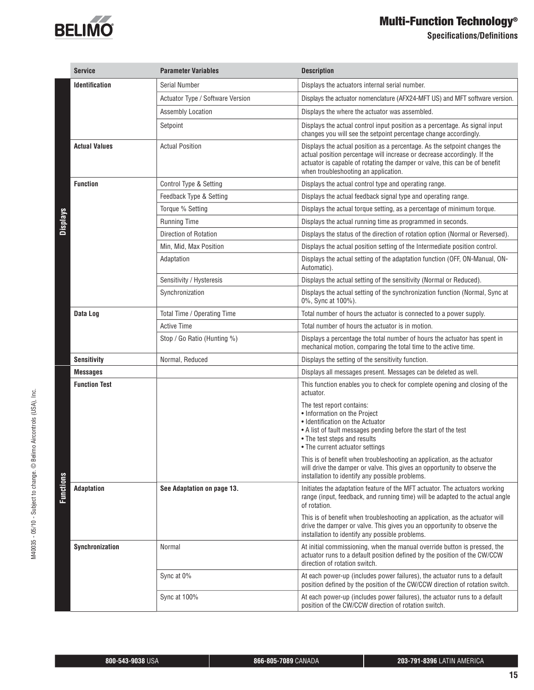

**Specifications/Definitions** 

|                 | <b>Service</b>        | <b>Parameter Variables</b>       | <b>Description</b>                                                                                                                                                                                                                                                           |
|-----------------|-----------------------|----------------------------------|------------------------------------------------------------------------------------------------------------------------------------------------------------------------------------------------------------------------------------------------------------------------------|
|                 | <b>Identification</b> | Serial Number                    | Displays the actuators internal serial number.                                                                                                                                                                                                                               |
|                 |                       | Actuator Type / Software Version | Displays the actuator nomenclature (AFX24-MFT US) and MFT software version.                                                                                                                                                                                                  |
|                 |                       | Assembly Location                | Displays the where the actuator was assembled.                                                                                                                                                                                                                               |
|                 |                       | Setpoint                         | Displays the actual control input position as a percentage. As signal input<br>changes you will see the setpoint percentage change accordingly.                                                                                                                              |
|                 | <b>Actual Values</b>  | <b>Actual Position</b>           | Displays the actual position as a percentage. As the setpoint changes the<br>actual position percentage will increase or decrease accordingly. If the<br>actuator is capable of rotating the damper or valve, this can be of benefit<br>when troubleshooting an application. |
|                 | <b>Function</b>       | Control Type & Setting           | Displays the actual control type and operating range.                                                                                                                                                                                                                        |
|                 |                       | Feedback Type & Setting          | Displays the actual feedback signal type and operating range.                                                                                                                                                                                                                |
|                 |                       | Torque % Setting                 | Displays the actual torque setting, as a percentage of minimum torque.                                                                                                                                                                                                       |
| <b>Displays</b> |                       | <b>Running Time</b>              | Displays the actual running time as programmed in seconds.                                                                                                                                                                                                                   |
|                 |                       | Direction of Rotation            | Displays the status of the direction of rotation option (Normal or Reversed).                                                                                                                                                                                                |
|                 |                       | Min, Mid, Max Position           | Displays the actual position setting of the Intermediate position control.                                                                                                                                                                                                   |
|                 |                       | Adaptation                       | Displays the actual setting of the adaptation function (OFF, ON-Manual, ON-<br>Automatic).                                                                                                                                                                                   |
|                 |                       | Sensitivity / Hysteresis         | Displays the actual setting of the sensitivity (Normal or Reduced).                                                                                                                                                                                                          |
|                 |                       | Synchronization                  | Displays the actual setting of the synchronization function (Normal, Sync at<br>0%, Sync at 100%).                                                                                                                                                                           |
|                 | Data Log              | Total Time / Operating Time      | Total number of hours the actuator is connected to a power supply.                                                                                                                                                                                                           |
|                 |                       | <b>Active Time</b>               | Total number of hours the actuator is in motion.                                                                                                                                                                                                                             |
|                 |                       | Stop / Go Ratio (Hunting %)      | Displays a percentage the total number of hours the actuator has spent in<br>mechanical motion, comparing the total time to the active time.                                                                                                                                 |
|                 | <b>Sensitivity</b>    | Normal, Reduced                  | Displays the setting of the sensitivity function.                                                                                                                                                                                                                            |
|                 | <b>Messages</b>       |                                  | Displays all messages present. Messages can be deleted as well.                                                                                                                                                                                                              |
|                 | <b>Function Test</b>  |                                  | This function enables you to check for complete opening and closing of the<br>actuator.                                                                                                                                                                                      |
|                 |                       |                                  | The test report contains:<br>• Information on the Project<br>• Identification on the Actuator<br>• A list of fault messages pending before the start of the test<br>• The test steps and results<br>• The current actuator settings                                          |
|                 |                       |                                  | This is of benefit when troubleshooting an application, as the actuator<br>will drive the damper or valve. This gives an opportunity to observe the<br>installation to identify any possible problems.                                                                       |
| Functions       | <b>Adaptation</b>     | See Adaptation on page 13.       | Initiates the adaptation feature of the MFT actuator. The actuators working<br>range (input, feedback, and running time) will be adapted to the actual angle<br>of rotation.                                                                                                 |
|                 |                       |                                  | This is of benefit when troubleshooting an application, as the actuator will<br>drive the damper or valve. This gives you an opportunity to observe the<br>installation to identify any possible problems.                                                                   |
|                 | Synchronization       | Normal                           | At initial commissioning, when the manual override button is pressed, the<br>actuator runs to a default position defined by the position of the CW/CCW<br>direction of rotation switch.                                                                                      |
|                 |                       | Sync at 0%                       | At each power-up (includes power failures), the actuator runs to a default<br>position defined by the position of the CW/CCW direction of rotation switch.                                                                                                                   |
|                 |                       | Sync at 100%                     | At each power-up (includes power failures), the actuator runs to a default<br>position of the CW/CCW direction of rotation switch.                                                                                                                                           |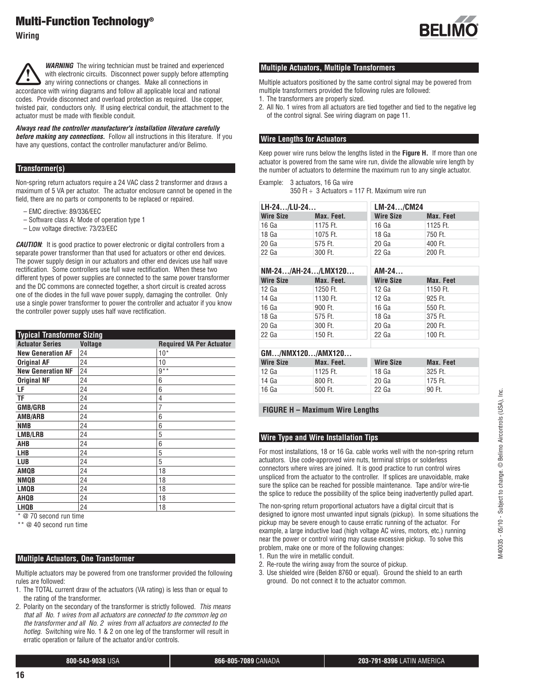**Wiring**



*Always read the controller manufacturer's installation literature carefully before making any connections.* Follow all instructions in this literature. If you have any questions, contact the controller manufacturer and/or Belimo.

#### **Transformer(s)**

Non-spring return actuators require a 24 VAC class 2 transformer and draws a maximum of 5 VA per actuator. The actuator enclosure cannot be opened in the field, there are no parts or components to be replaced or repaired.

- EMC directive: 89/336/EEC
- Software class A: Mode of operation type 1
- Low voltage directive: 73/23/EEC

*CAUTION*: It is good practice to power electronic or digital controllers from a separate power transformer than that used for actuators or other end devices. The power supply design in our actuators and other end devices use half wave rectification. Some controllers use full wave rectification. When these two different types of power supplies are connected to the same power transformer and the DC commons are connected together, a short circuit is created across one of the diodes in the full wave power supply, damaging the controller. Only use a single power transformer to power the controller and actuator if you know the controller power supply uses half wave rectification.

| <b>Typical Transformer Sizing</b> |                |                                 |
|-----------------------------------|----------------|---------------------------------|
| <b>Actuator Series</b>            | <b>Voltage</b> | <b>Required VA Per Actuator</b> |
| <b>New Generation AF</b>          | 24             | $10*$                           |
| <b>Original AF</b>                | 24             | 10                              |
| <b>New Generation NF</b>          | 24             | $9***$                          |
| <b>Original NF</b>                | 24             | 6                               |
| LF                                | 24             | 6                               |
| ΤF                                | 24             | 4                               |
| <b>GMB/GRB</b>                    | 24             | 7                               |
| <b>AMB/ARB</b>                    | 24             | 6                               |
| <b>NMB</b>                        | 24             | 6                               |
| <b>LMB/LRB</b>                    | 24             | 5                               |
| AHB                               | 24             | 6                               |
| <b>LHB</b>                        | 24             | 5                               |
| <b>LUB</b>                        | 24             | 5                               |
| <b>AMOB</b>                       | 24             | 18                              |
| <b>NMOB</b>                       | 24             | 18                              |
| <b>LMQB</b>                       | 24             | 18                              |
| AHOB                              | 24             | 18                              |
| <b>LHQB</b><br>--                 | 24             | 18                              |

\* @ 70 second run time

\*\* @ 40 second run time

#### **Multiple Actuators, One Transformer**

Multiple actuators may be powered from one transformer provided the following rules are followed:

- 1. The TOTAL current draw of the actuators (VA rating) is less than or equal to the rating of the transformer.
- 2. Polarity on the secondary of the transformer is strictly followed. *This means that all No. 1 wires from all actuators are connected to the common leg on the transformer and all No. 2 wires from all actuators are connected to the hotleg.* Switching wire No. 1 & 2 on one leg of the transformer will result in erratic operation or failure of the actuator and/or controls.



#### **Multiple Actuators, Multiple Transformers**

Multiple actuators positioned by the same control signal may be powered from multiple transformers provided the following rules are followed:

- 1. The transformers are properly sized.
- 2. All No. 1 wires from all actuators are tied together and tied to the negative leg of the control signal. See wiring diagram on page 11.

#### **Wire Lengths for Actuators**

Keep power wire runs below the lengths listed in the **Figure H.** If more than one actuator is powered from the same wire run, divide the allowable wire length by the number of actuators to determine the maximum run to any single actuator.

Example: 3 actuators, 16 Ga wire 350 Ft  $\div$  3 Actuators = 117 Ft. Maximum wire run

| LH-24/LU-24      |            | LM-24/CM24       |           |
|------------------|------------|------------------|-----------|
| <b>Wire Size</b> | Max. Feet. | <b>Wire Size</b> | Max. Feet |
| 16 Ga            | 1175 Ft.   | 16 Ga            | 1125 Ft.  |
| 18 Ga            | 1075 Ft.   | 18 Ga            | 750 Ft.   |
| 20 Ga            | 575 Ft.    | 20 Ga            | 400 Ft.   |
| 22 Ga            | 300 Ft.    | 22 Ga            | 200 Ft.   |

| NM-24/AH-24/LMX120 |            | $AM-24$          |           |
|--------------------|------------|------------------|-----------|
| <b>Wire Size</b>   | Max. Feet. | <b>Wire Size</b> | Max. Feet |
| 12 Ga              | 1250 Ft.   | 12 <sub>Ga</sub> | 1150 Ft.  |
| 14 Ga              | 1130 Ft.   | 12 <sub>Ga</sub> | 925 Ft.   |
| 16 Ga              | 900 Ft.    | 16 Ga            | 550 Ft.   |
| 18 Ga              | 575 Ft.    | 18 Ga            | 375 Ft.   |
| 20 Ga              | 300 Ft.    | 20 Ga            | 200 Ft.   |
| 22 Ga              | 150 Ft.    | 22 Ga            | 100 Ft.   |
|                    |            |                  |           |

| GM/NMX120/AMX120 |            |                  |           |
|------------------|------------|------------------|-----------|
| <b>Wire Size</b> | Max. Feet. | <b>Wire Size</b> | Max. Feet |
| 12 Ga            | 1125 Ft.   | 18 Ga            | 325 Ft.   |
| 14 Ga            | 800 Ft.    | 20 Ga            | 175 Ft.   |
| 16 Ga            | 500 Ft.    | 22 Ga            | 90 Ft.    |
|                  |            |                  |           |

**FIGURE H – Maximum Wire Lengths**

#### **Wire Type and Wire Installation Tips**

For most installations, 18 or 16 Ga. cable works well with the non-spring return actuators. Use code-approved wire nuts, terminal strips or solderless connectors where wires are joined. It is good practice to run control wires unspliced from the actuator to the controller. If splices are unavoidable, make sure the splice can be reached for possible maintenance. Tape and/or wire-tie the splice to reduce the possibility of the splice being inadvertently pulled apart.

The non-spring return proportional actuators have a digital circuit that is designed to ignore most unwanted input signals (pickup). In some situations the pickup may be severe enough to cause erratic running of the actuator. For example, a large inductive load (high voltage AC wires, motors, etc.) running near the power or control wiring may cause excessive pickup. To solve this problem, make one or more of the following changes:

1. Run the wire in metallic conduit.

- 2. Re-route the wiring away from the source of pickup.
- 3. Use shielded wire (Belden 8760 or equal). Ground the shield to an earth ground. Do not connect it to the actuator common.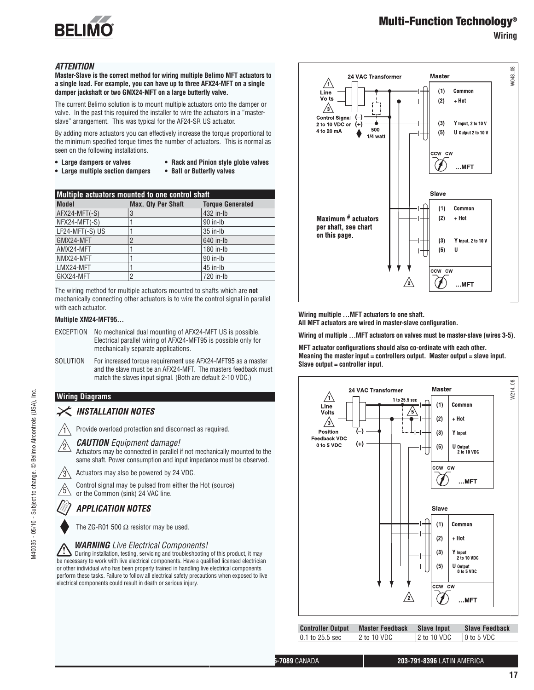

**Wiring**

#### *ATTENTION*

**Master-Slave is the correct method for wiring multiple Belimo MFT actuators to a single load. For example, you can have up to three AFX24-MFT on a single damper jackshaft or two GMX24-MFT on a large butterfly valve.**

The current Belimo solution is to mount multiple actuators onto the damper or valve. In the past this required the installer to wire the actuators in a "masterslave" arrangement. This was typical for the AF24-SR US actuator.

By adding more actuators you can effectively increase the torque proportional to the minimum specified torque times the number of actuators. This is normal as seen on the following installations.

- **Large dampers or valves Rack and Pinion style globe valves**
	-
- **Large multiple section dampers Ball or Butterfly valves**
- 

| Multiple actuators mounted to one control shaft |                           |                         |  |
|-------------------------------------------------|---------------------------|-------------------------|--|
| <b>Model</b>                                    | <b>Max. Qty Per Shaft</b> | <b>Torque Generated</b> |  |
| AFX24-MFT(-S)                                   | 3                         | 432 in-lb               |  |
| NFX24-MFT(-S)                                   |                           | 90 in-lb                |  |
| LF24-MFT(-S) US                                 |                           | $35$ in-Ib              |  |
| GMX24-MFT                                       | $\overline{2}$            | 640 in-lb               |  |
| AMX24-MFT                                       |                           | 180 in-lb               |  |
| NMX24-MFT                                       |                           | 90 in-lb                |  |
| LMX24-MFT                                       |                           | $45$ in-Ib              |  |
| GKX24-MFT                                       | 2                         | 720 in-lb               |  |

The wiring method for multiple actuators mounted to shafts which are **not**  mechanically connecting other actuators is to wire the control signal in parallel with each actuator.

#### **Multiple XM24-MFT95…**

- EXCEPTION No mechanical dual mounting of AFX24-MFT US is possible. Electrical parallel wiring of AFX24-MFT95 is possible only for mechanically separate applications.
- SOLUTION For increased torque requirement use AFX24-MFT95 as a master and the slave must be an AFX24-MFT. The masters feedback must match the slaves input signal. (Both are default 2-10 VDC.)

#### **Wiring Diagrams**

#### **INSTALLATION NOTES**

Provide overload protection and disconnect as required.

#### <sup>2</sup> *CAUTION Equipment damage!*

Actuators may be connected in parallel if not mechanically mounted to the same shaft. Power consumption and input impedance must be observed.

 $\sqrt{3}$  Actuators may also be powered by 24 VDC.

<sup>5</sup> Control signal may be pulsed from either the Hot (source) or the Common (sink) 24 VAC line.

### **APPLICATION NOTES**

The ZG-R01 500  $\Omega$  resistor may be used.

#### *WARNING Live Electrical Components!*

 During installation, testing, servicing and troubleshooting of this product, it may be necessary to work with live electrical components. Have a qualified licensed electrician or other individual who has been properly trained in handling live electrical components perform these tasks. Failure to follow all electrical safety precautions when exposed to live electrical components could result in death or serious injury.



**Wiring multiple …MFT actuators to one shaft.** All MFT actuators are wired in master-slave configuration.

**Wiring of multiple …MFT actuators on valves must be master-slave (wires 3-5).**

**MFT actuator configurations should also co-ordinate with each other. Meaning the master input = controllers output. Master output = slave input. Slave output = controller input.**



0.1 to 25.5 sec 2 to 10 VDC 2 to 10 VDC 0 to 5 VDC

**800-543-9038** USA **866-805-7089** CANADA **203-791-8396** LATIN AMERICA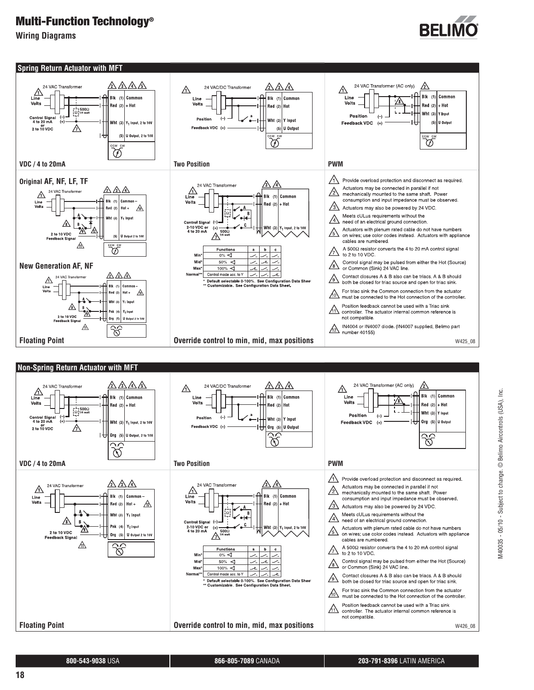**Wiring Diagrams**













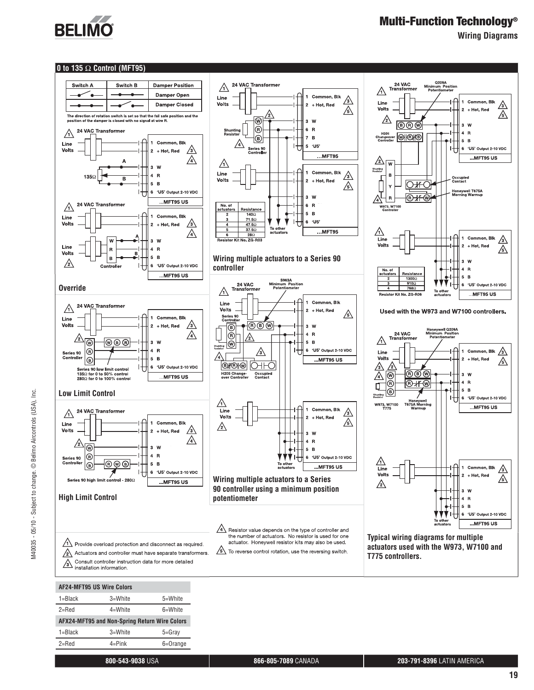

**Wiring Diagrams**

#### **0 to 135** Ω **Control (MFT95)**



| AF24-MFT95 US Wire Colors                     |             |            |  |
|-----------------------------------------------|-------------|------------|--|
| $1 = Black$                                   | 3=White     | 5=White    |  |
| $2 =$ Red                                     | $4 = White$ | 6=White    |  |
| AFX24-MFT95 and Non-Spring Return Wire Colors |             |            |  |
| $1 = Black$                                   | 3=White     | $5 =$ Gray |  |
| $2 =$ Red                                     |             |            |  |
|                                               | $4 =$ Pink  | 6=Orange   |  |

M40035 - 05/10 - Subject to change. © Belimo Aircontrols (USA), Inc.

M40035 - 05/10 - Subject to change. © Belimo Aircontrols (USA), Inc.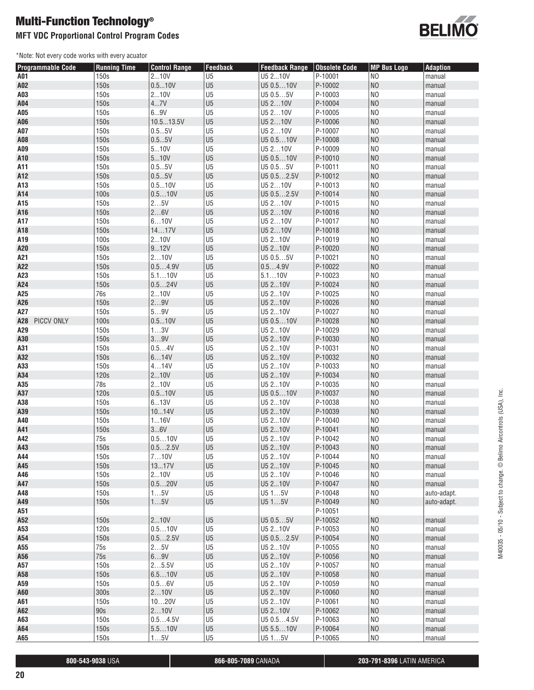### **MFT VDC Proportional Control Program Codes**

\*Note: Not every code works with every acuator



| <b>Programmable Code</b> | <b>Running Time</b> | <b>Control Range</b> | Feedback                         | <b>Feedback Range</b> | <b>Obsolete Code</b> | <b>MP Bus Logo</b>               | <b>Adaption</b>  |
|--------------------------|---------------------|----------------------|----------------------------------|-----------------------|----------------------|----------------------------------|------------------|
| A01                      | 150s                | 210V                 | U <sub>5</sub>                   | U5 210V               | P-10001              | N <sub>O</sub>                   | manual           |
| A02                      | 150s                | 0.510V               | U <sub>5</sub>                   | U5 0.510V             | P-10002              | N <sub>O</sub>                   | manual           |
| A03                      | 150s                | 210V                 | U <sub>5</sub>                   | U5 0.55V              | P-10003              | N <sub>O</sub>                   | manual           |
| A04                      | 150s                | 47V                  | U <sub>5</sub>                   | U5 210V               | P-10004              | N <sub>O</sub>                   | manual           |
| A05                      | 150s                | 69V                  | U <sub>5</sub>                   | U5 210V               | P-10005              | N <sub>O</sub>                   | manual           |
| A06                      | 150s                | 10.513.5V            | U <sub>5</sub>                   | U5 210V               | P-10006              | N <sub>O</sub>                   | manual           |
| A07                      | 150s                | 0.55V                | U <sub>5</sub>                   | U5 210V               | P-10007              | N <sub>0</sub>                   | manual           |
| A08                      | 150s                | 0.55V                | U <sub>5</sub>                   | U5 0.510V             | P-10008              | N <sub>O</sub>                   | manual           |
| A09                      | 150s                | 510V                 | U <sub>5</sub>                   | U5 210V               | P-10009              | N <sub>0</sub>                   | manual           |
| A10                      | 150s                | 510V                 | U <sub>5</sub>                   | U5 0.510V             | P-10010              | N <sub>O</sub>                   | manual           |
| A11                      | 150s                | 0.55V                | U <sub>5</sub>                   | U5 0.55V              | P-10011              | N <sub>0</sub>                   | manual           |
| A12                      | 150s                | 0.55V                | U <sub>5</sub>                   | U5 0.52.5V            | P-10012              | N <sub>O</sub>                   | manual           |
| A13                      | 150s                | 0.510V               | U <sub>5</sub>                   | U5 210V               | P-10013              | N <sub>0</sub>                   | manual           |
| A14                      | 100s                | 0.510V               | U <sub>5</sub>                   | U5 0.52.5V            | P-10014              | N <sub>O</sub>                   | manual           |
| A15                      | 150s                | 25V                  | U <sub>5</sub>                   | U5 210V               | P-10015              | N <sub>O</sub>                   | manual           |
| A16                      | 150s                | 26V                  | U <sub>5</sub>                   | U5 210V               | P-10016              | N <sub>O</sub>                   | manual           |
| A17                      | 150s                | 610V                 | U <sub>5</sub>                   | U5 210V               | P-10017              | N <sub>0</sub>                   | manual           |
| A18                      | 150s                | 1417V                | U <sub>5</sub>                   | U5 210V               | P-10018              | N <sub>O</sub>                   | manual           |
| A19                      | 100s                | 210V                 | U <sub>5</sub>                   | U5 210V               | P-10019              | N <sub>O</sub>                   | manual           |
| A20                      | 150s                | 912V                 | U <sub>5</sub>                   | U5 210V               | P-10020              | N <sub>O</sub>                   | manual           |
| A21                      | 150s                | 210V                 | U <sub>5</sub>                   | U5 0.55V              | P-10021              | N <sub>O</sub>                   | manual           |
| A22                      | 150s                | 0.54.9V              | U <sub>5</sub>                   | 0.54.9V               | P-10022              | N <sub>O</sub>                   | manual           |
| A23                      | 150s                | 5.110V               | U <sub>5</sub>                   | 5.110V                | P-10023              | N <sub>O</sub>                   | manual           |
| A24                      | 150s                | 0.524V               | U <sub>5</sub>                   | U5 210V               | P-10024              | N <sub>O</sub>                   | manual           |
| A25                      | 76s                 | 210V                 | U <sub>5</sub>                   | U5 210V               | P-10025              | N <sub>O</sub>                   | manual           |
| A26                      | 150s                | 29V                  | U <sub>5</sub>                   | U5 210V               | P-10026              | N <sub>O</sub>                   | manual           |
| A27                      | 150s                | 59V                  | U <sub>5</sub>                   | U5 210V               | P-10027              | N <sub>O</sub>                   | manual           |
| A28<br>PICCV ONLY        | 100s                | 0.510V               | U <sub>5</sub>                   | U5 0.510V             | P-10028              | N <sub>O</sub>                   | manual           |
| A29                      | 150s                | 13V                  | U <sub>5</sub>                   | U5 210V               | P-10029              | N <sub>O</sub>                   | manual           |
| A30                      | 150s                | 39V                  | U <sub>5</sub>                   | U5 210V               | P-10030              | N <sub>O</sub>                   | manual           |
| A31                      | 150s                | 0.54V                | U <sub>5</sub>                   | U5 210V               | P-10031              | N <sub>O</sub>                   | manual           |
| A32                      | 150s                | 614V                 | U <sub>5</sub>                   | U5 210V               | P-10032              | N <sub>O</sub>                   | manual           |
| A33                      | 150s                | 414V                 | U <sub>5</sub>                   | U5 210V               | P-10033              | N <sub>0</sub>                   | manual           |
| A34                      | 120s                | 210V                 | U <sub>5</sub>                   | U5 210V               | P-10034              | N <sub>O</sub>                   | manual           |
| A35                      | 78s                 | 210V                 | U <sub>5</sub>                   | U5 210V               | P-10035              | N <sub>0</sub>                   | manual           |
| A37                      | 120s                | 0.510V               | U <sub>5</sub>                   | U5 0.510V             | P-10037              | N <sub>O</sub>                   | manual           |
| A38                      | 150s                | 613V                 | U <sub>5</sub>                   | U5 210V               | P-10038              | N <sub>0</sub>                   | manual           |
| A39                      | 150s                | 1014V                | U <sub>5</sub>                   | U5 210V               | P-10039              | N <sub>O</sub>                   | manual           |
| A40                      | 150s                | 116V                 | U <sub>5</sub>                   | U5 210V               | P-10040              | N <sub>0</sub>                   | manual           |
| A41                      | 150s                | 36V                  | U <sub>5</sub>                   | U5 210V               | P-10041              | N <sub>O</sub>                   | manual           |
| A42                      | 75s                 | 0.510V               | U <sub>5</sub>                   | U5 210V               | P-10042              | N <sub>0</sub>                   | manual           |
| A43                      | 150s                | 0.52.5V              | U <sub>5</sub>                   | U5 210V               | P-10043              | N <sub>O</sub>                   | manual           |
| A44                      | 150s                | 710V                 | U5                               | U5 210V               | P-10044              | NO.                              | manual           |
| A45                      | 150s                | 1317V                | U <sub>5</sub>                   | U5 210V               | P-10045              | N <sub>O</sub>                   | manual           |
| A46                      | 150s                | 210V                 | U <sub>5</sub>                   | U5 210V               | P-10046              | N <sub>0</sub>                   | manual           |
| A47                      | 150s                | 0.520V               | U <sub>5</sub>                   | U5 210V               | P-10047              | N <sub>O</sub>                   | manual           |
| A48                      | 150s                | 15V                  | U <sub>5</sub>                   | U515V                 | P-10048              | N <sub>0</sub>                   | auto-adapt.      |
| A49                      | 150s                | 15V                  | U <sub>5</sub>                   | U515V                 | P-10049              | N <sub>O</sub>                   | auto-adapt.      |
| A51                      |                     |                      |                                  |                       | P-10051              |                                  |                  |
| A52                      | 150s                | 210V                 | U <sub>5</sub>                   | U5 0.55V              | P-10052              | N <sub>O</sub>                   | manual           |
| A53                      | 120s                | 0.510V               | U <sub>5</sub><br>U <sub>5</sub> | U5 210V               | P-10053              | N <sub>0</sub><br>N <sub>O</sub> | manual           |
| A54                      | 150s                | 0.52.5V              |                                  | U5 0.52.5V            | P-10054<br>P-10055   | N <sub>0</sub>                   | manual<br>manual |
| A55                      | 75s                 | 25V                  | U <sub>5</sub>                   | U5 210V               |                      |                                  |                  |
| A56                      | 75s<br>150s         | 69V                  | U <sub>5</sub>                   | U5 210V               | P-10056              | N <sub>O</sub><br>N <sub>0</sub> | manual<br>manual |
| A57                      |                     | 25.5V                | U <sub>5</sub>                   | U5 210V               | P-10057              | N <sub>O</sub>                   |                  |
| A58                      | 150s                | 6.510V               | U <sub>5</sub>                   | U5 210V               | P-10058              |                                  | manual           |
| A59                      | 150s                | 0.56V                | U <sub>5</sub>                   | U5 210V               | P-10059              | N <sub>0</sub>                   | manual           |
| A60                      | 300s                | 210V                 | U <sub>5</sub><br>U <sub>5</sub> | U5 210V               | P-10060              | N <sub>O</sub><br>N <sub>0</sub> | manual           |
| A61                      | 150s                | 1020V                |                                  | U5 210V               | P-10061              | N <sub>O</sub>                   | manual           |
| A62<br>A63               | 90s<br>150s         | 210V<br>0.54.5V      | U <sub>5</sub><br>U <sub>5</sub> | U5 210V<br>U5 0.54.5V | P-10062<br>P-10063   | N <sub>0</sub>                   | manual<br>manual |
|                          | 150s                |                      | U5                               |                       |                      | N <sub>O</sub>                   |                  |
| A64                      |                     | 5.510V               | U <sub>5</sub>                   | U5 5.510V<br>U515V    | P-10064              | $_{\rm NO}$                      | manual           |
| A65                      | 150s                | 15V                  |                                  |                       | P-10065              |                                  | manual           |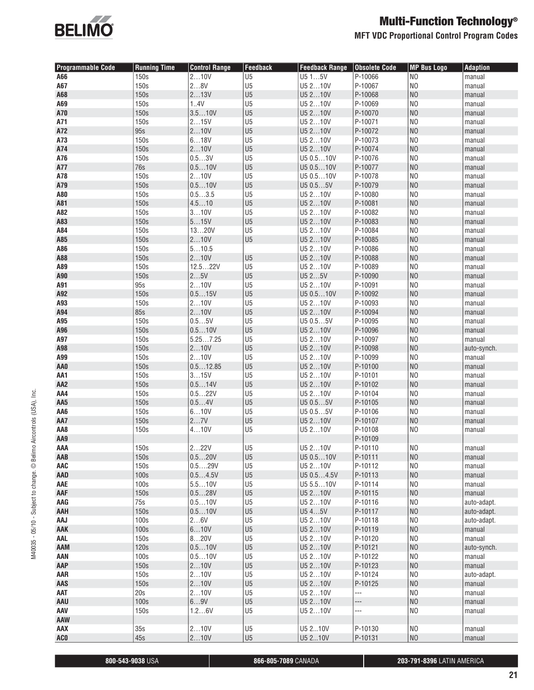

**MFT VDC Proportional Control Program Codes**

| <b>Programmable Code</b> | <b>Running Time</b> | <b>Control Range</b> | <b>Feedback</b>                  | <b>Feedback Range</b> | <b>Obsolete Code</b>     | <b>MP Bus Logo</b>               | <b>Adaption</b>  |
|--------------------------|---------------------|----------------------|----------------------------------|-----------------------|--------------------------|----------------------------------|------------------|
| A66                      | 150s                | 210V                 | U <sub>5</sub>                   | U515V                 | P-10066                  | N <sub>O</sub>                   | manual           |
| A67                      | 150s                | 28V                  | U <sub>5</sub>                   | U5 210V               | P-10067                  | N <sub>0</sub>                   | manual           |
| A68                      | 150s                | 213V                 | U <sub>5</sub>                   | U5 210V               | P-10068                  | N <sub>0</sub>                   | manual           |
| A69                      | 150s                | 1.4V                 | U <sub>5</sub>                   | U5 210V               | P-10069                  | N <sub>0</sub>                   | manual           |
| A70                      | 150s                | 3.510V               | U <sub>5</sub>                   | U5 210V               | P-10070                  | N <sub>0</sub>                   | manual           |
| A71                      | 150s                | 215V                 | U <sub>5</sub>                   | U5 210V               | P-10071                  | N <sub>O</sub>                   | manual           |
| A72                      | 95s                 | 210V                 | U <sub>5</sub>                   | U5 210V               | P-10072                  | N <sub>O</sub>                   | manual           |
| A73                      | 150s                | 618V                 | U <sub>5</sub>                   | U5 210V               | P-10073                  | N <sub>0</sub>                   | manual           |
| A74                      | 150s                | 210V                 | U <sub>5</sub>                   | U5 210V               | P-10074                  | N <sub>O</sub>                   | manual           |
| A76                      | 150s                | 0.53V                | U <sub>5</sub>                   | U5 0.510V             | P-10076                  | N <sub>0</sub>                   | manual           |
| A77                      | 76s                 | 0.510V               | U <sub>5</sub>                   | U5 0.510V             | P-10077                  | N <sub>0</sub>                   | manual           |
| A78                      | 150s                | 210V                 | U <sub>5</sub>                   | U5 0.510V             | P-10078                  | N <sub>0</sub>                   | manual           |
| A79                      | 150s                | 0.510V               | U <sub>5</sub>                   | U5 0.55V              | P-10079                  | N <sub>0</sub>                   | manual           |
| A80                      | 150s                | 0.53.5               | U <sub>5</sub>                   | U5 210V               | P-10080                  | N <sub>O</sub>                   | manual           |
| A81                      | 150s                | 4.510                | U <sub>5</sub>                   | U5 210V               | P-10081                  | N <sub>O</sub>                   | manual           |
| A82                      | 150s                | 310V                 | U <sub>5</sub>                   | U5 210V               | P-10082                  | N <sub>0</sub>                   | manual           |
| A83                      | 150s                | 515V                 | U <sub>5</sub>                   | U5 210V               | P-10083                  | N <sub>0</sub>                   | manual           |
| A84                      | 150s                | 1320V                | U <sub>5</sub>                   | U5 210V               | P-10084                  | N <sub>0</sub><br>N <sub>0</sub> | manual           |
| A85<br>A86               | 150s<br>150s        | 210V<br>510.5        | U <sub>5</sub>                   | U5 210V<br>U5 210V    | P-10085<br>P-10086       | N <sub>0</sub>                   | manual<br>manual |
| A88                      | 150s                | 210V                 | U <sub>5</sub>                   | U5 210V               | P-10088                  | N <sub>0</sub>                   | manual           |
| A89                      | 150s                | 12.522V              | U <sub>5</sub>                   | U5 210V               | P-10089                  | N <sub>0</sub>                   | manual           |
| A90                      | 150s                | 25V                  | U <sub>5</sub>                   | U5 25V                | P-10090                  | N <sub>0</sub>                   | manual           |
| A91                      | 95s                 | 210V                 | U <sub>5</sub>                   | U5 210V               | P-10091                  | N <sub>0</sub>                   | manual           |
| A92                      | 150s                | 0.515V               | U <sub>5</sub>                   | U5 0.510V             | P-10092                  | N <sub>0</sub>                   | manual           |
| A93                      | 150s                | 210V                 | U <sub>5</sub>                   | U5 210V               | P-10093                  | N <sub>0</sub>                   | manual           |
| A94                      | <b>85s</b>          | 210V                 | U <sub>5</sub>                   | U5 210V               | P-10094                  | N <sub>O</sub>                   | manual           |
| A95                      | 150s                | 0.55V                | U <sub>5</sub>                   | U5 0.55V              | P-10095                  | N <sub>0</sub>                   | manual           |
| A96                      | 150s                | 0.510V               | U <sub>5</sub>                   | U5 210V               | P-10096                  | N <sub>0</sub>                   | manual           |
| A97                      | 150s                | 5.257.25             | U <sub>5</sub>                   | U5 210V               | P-10097                  | N <sub>0</sub>                   | manual           |
| A98                      | 150s                | 210V                 | U <sub>5</sub>                   | U5 210V               | P-10098                  | N <sub>0</sub>                   | auto-synch.      |
| A99                      | 150s                | 210V                 | U <sub>5</sub>                   | U5 210V               | P-10099                  | N <sub>0</sub>                   | manual           |
| AA0                      | 150s                | 0.512.85             | U <sub>5</sub>                   | U5 210V               | P-10100                  | N <sub>O</sub>                   | manual           |
| AA1                      | 150s                | 315V                 | U <sub>5</sub>                   | U5 210V               | P-10101                  | N <sub>0</sub>                   | manual           |
| AA <sub>2</sub>          | 150s                | 0.514V               | U <sub>5</sub>                   | U5 210V               | P-10102                  | N <sub>0</sub>                   | manual           |
| AA4                      | 150s                | 0.522V               | U <sub>5</sub>                   | U5 210V               | P-10104                  | N <sub>O</sub>                   | manual           |
| AA5                      | 150s                | 0.54V                | U <sub>5</sub>                   | U5 0.55V              | P-10105                  | N <sub>O</sub>                   | manual           |
| AA6                      | 150s                | 610V                 | U <sub>5</sub>                   | U5 0.55V              | P-10106                  | N <sub>0</sub>                   | manual           |
| AA7                      | 150s                | 27V                  | U <sub>5</sub>                   | U5 210V               | P-10107                  | N <sub>0</sub>                   | manual           |
| AA8                      | 150s                | 410V                 | U <sub>5</sub>                   | U5 210V               | P-10108                  | N <sub>0</sub>                   | manual           |
| AA9                      |                     |                      |                                  |                       | P-10109                  |                                  |                  |
| AAA                      | 150s                | 222V                 | U <sub>5</sub>                   | U5 210V               | P-10110                  | N <sub>0</sub>                   | manual           |
| AAB<br>AAC               | 150s<br>150s        | 0.520V<br>0.529V     | U <sub>5</sub><br>U <sub>5</sub> | U5 0.510V<br>U5 210V  | P-10111<br>P-10112       | NO<br>N <sub>O</sub>             | manual           |
| AAD                      | 100s                | 0.54.5V              | U <sub>5</sub>                   | U5 0.54.5V            | P-10113                  | N <sub>O</sub>                   | manual<br>manual |
| AAE                      | 100s                | 5.510V               | U <sub>5</sub>                   | U5 5.510V             | P-10114                  | N <sub>0</sub>                   | manual           |
| AAF                      | 150s                | 0.528V               | U <sub>5</sub>                   | U5 210V               | P-10115                  | N <sub>0</sub>                   | manual           |
| AAG                      | 75s                 | 0.510V               | U <sub>5</sub>                   | U5 210V               | P-10116                  | N <sub>0</sub>                   | auto-adapt.      |
| AAH                      | 150s                | 0.510V               | U <sub>5</sub>                   | U545V                 | P-10117                  | N <sub>0</sub>                   | auto-adapt.      |
| AAJ                      | 100s                | 26V                  | U <sub>5</sub>                   | U5 210V               | P-10118                  | N <sub>0</sub>                   | auto-adapt.      |
| AAK                      | 100s                | 610V                 | U <sub>5</sub>                   | U5 210V               | P-10119                  | N <sub>0</sub>                   | manual           |
| AAL                      | 150s                | 820V                 | U <sub>5</sub>                   | U5 210V               | P-10120                  | N <sub>O</sub>                   | manual           |
| AAM                      | 120s                | 0.510V               | U <sub>5</sub>                   | U5 210V               | P-10121                  | N <sub>O</sub>                   | auto-synch.      |
| AAN                      | 100s                | 0.510V               | U <sub>5</sub>                   | U5 210V               | P-10122                  | N <sub>0</sub>                   | manual           |
| AAP                      | 150s                | 210V                 | U <sub>5</sub>                   | U5 210V               | P-10123                  | N <sub>0</sub>                   | manual           |
| AAR                      | 150s                | 210V                 | U <sub>5</sub>                   | U5 210V               | P-10124                  | N <sub>0</sub>                   | auto-adapt.      |
| AAS                      | 150s                | 210V                 | U <sub>5</sub>                   | U5 210V               | P-10125                  | N <sub>0</sub>                   | manual           |
| AAT                      | 20s                 | 210V                 | U <sub>5</sub>                   | U5 210V               | $\overline{\phantom{a}}$ | N <sub>0</sub>                   | manual           |
| AAU                      | 100s                | 69V                  | U <sub>5</sub>                   | U5 210V               | ---                      | N <sub>0</sub>                   | manual           |
| AAV                      | 150s                | 1.26V                | U <sub>5</sub>                   | U5 210V               | $\overline{\phantom{a}}$ | N <sub>O</sub>                   | manual           |
| AAW                      |                     |                      |                                  |                       |                          |                                  |                  |
| AAX                      | 35s                 | 210V                 | U <sub>5</sub>                   | U5 210V               | P-10130                  | N <sub>0</sub>                   | manual           |
| <b>ACO</b>               | 45s                 | 210V                 | U <sub>5</sub>                   | U5 210V               | P-10131                  | NO                               | manual           |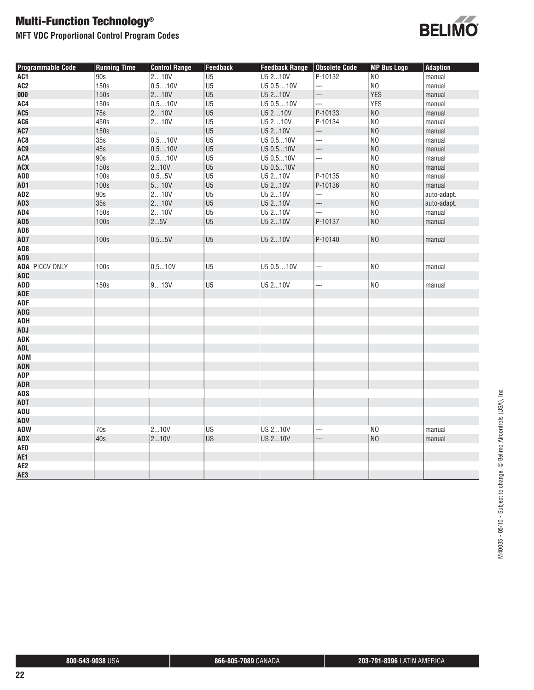**MFT VDC Proportional Control Program Codes**



| <b>Programmable Code</b> | <b>Running Time</b> | <b>Control Range</b> | Feedback       | Feedback Range   Obsolete Code |         | <b>MP Bus Logo</b> | <b>Adaption</b> |
|--------------------------|---------------------|----------------------|----------------|--------------------------------|---------|--------------------|-----------------|
| AC1                      | 90s                 | 210V                 | U <sub>5</sub> | U5 210V                        | P-10132 | NO                 | manual          |
| AC <sub>2</sub>          | 150s                | 0.510V               | U <sub>5</sub> | U5 0.510V                      | ---     | N <sub>O</sub>     | manual          |
| 000                      | 150s                | 210V                 | U <sub>5</sub> | U5 210V                        | ---     | <b>YES</b>         | manual          |
| AC4                      | 150s                | 0.510V               | U <sub>5</sub> | U5 0.510V                      | ---     | <b>YES</b>         | manual          |
| AC <sub>5</sub>          | 75s                 | 210V                 | U <sub>5</sub> | U5 210V                        | P-10133 | N <sub>0</sub>     | manual          |
| AC6                      | 450s                | 210V                 | U <sub>5</sub> | U5 210V                        | P-10134 | N <sub>0</sub>     | manual          |
| AC7                      | 150s                | .                    | U <sub>5</sub> | U5 210V                        | ---     | N <sub>0</sub>     | manual          |
| AC <sub>8</sub>          | 35s                 | 0.510V               | U <sub>5</sub> | U5 0.510V                      |         | N <sub>0</sub>     | manual          |
| AC9                      | 45s                 | 0.510V               | U <sub>5</sub> | U5 0.510V                      | ---     | N <sub>0</sub>     | manual          |
| <b>ACA</b>               | 90s                 | 0.510V               | U <sub>5</sub> | U5 0.510V                      | ---     | N <sub>0</sub>     | manual          |
| ACX                      | 150s                | 210V                 | U <sub>5</sub> | U5 0.510V                      |         | N <sub>0</sub>     | manual          |
| AD <sub>0</sub>          | 100s                | 0.55V                | U <sub>5</sub> | U5 210V                        | P-10135 | N <sub>0</sub>     | manual          |
| AD1                      | 100s                | 510V                 | U <sub>5</sub> | U5 210V                        | P-10136 | N <sub>0</sub>     | manual          |
| AD <sub>2</sub>          | 90s                 | 210V                 | U <sub>5</sub> | U5 210V                        | ---     | N <sub>0</sub>     | auto-adapt.     |
| AD <sub>3</sub>          | 35s                 | 210V                 | U <sub>5</sub> | U5 210V                        | ---     | N <sub>0</sub>     | auto-adapt.     |
| AD4                      | 150s                | 210V                 | U <sub>5</sub> | U5 210V                        | ---     | N <sub>0</sub>     | manual          |
| AD <sub>5</sub>          | 100s                | 25V                  | U <sub>5</sub> | U5 210V                        | P-10137 | N <sub>O</sub>     | manual          |
| AD <sub>6</sub>          |                     |                      |                |                                |         |                    |                 |
| AD7                      | 100s                | 0.55V                | U <sub>5</sub> | U5 210V                        | P-10140 | NO                 | manual          |
| AD <sub>8</sub>          |                     |                      |                |                                |         |                    |                 |
| AD9                      |                     |                      |                |                                |         |                    |                 |
| <b>ADA PICCV ONLY</b>    | 100s                | 0.510V               | U <sub>5</sub> | U5 0.510V                      | ---     | N <sub>O</sub>     | manual          |
| <b>ADC</b>               |                     |                      |                |                                |         |                    |                 |
| <b>ADD</b>               | 150s                | 913V                 | U <sub>5</sub> | U5 210V                        | ---     | N <sub>O</sub>     | manual          |
| <b>ADE</b>               |                     |                      |                |                                |         |                    |                 |
| <b>ADF</b>               |                     |                      |                |                                |         |                    |                 |
| <b>ADG</b>               |                     |                      |                |                                |         |                    |                 |
| ADH                      |                     |                      |                |                                |         |                    |                 |
| <b>ADJ</b>               |                     |                      |                |                                |         |                    |                 |
| ADK                      |                     |                      |                |                                |         |                    |                 |
| <b>ADL</b>               |                     |                      |                |                                |         |                    |                 |
| ADM                      |                     |                      |                |                                |         |                    |                 |
| <b>ADN</b>               |                     |                      |                |                                |         |                    |                 |
| <b>ADP</b>               |                     |                      |                |                                |         |                    |                 |
| <b>ADR</b>               |                     |                      |                |                                |         |                    |                 |
| <b>ADS</b>               |                     |                      |                |                                |         |                    |                 |
| ADT                      |                     |                      |                |                                |         |                    |                 |
| ADU                      |                     |                      |                |                                |         |                    |                 |
| ADV                      |                     |                      |                |                                |         |                    |                 |
| <b>ADW</b>               | 70s                 | 210V                 | US             | <b>US 210V</b>                 | ---     | N <sub>O</sub>     | manual          |
| <b>ADX</b>               | 40s                 | 210V                 | <b>US</b>      | <b>US 210V</b>                 | ---     | N <sub>0</sub>     | manual          |
| AE0                      |                     |                      |                |                                |         |                    |                 |
| AE1                      |                     |                      |                |                                |         |                    |                 |
| AE <sub>2</sub>          |                     |                      |                |                                |         |                    |                 |
| AE3                      |                     |                      |                |                                |         |                    |                 |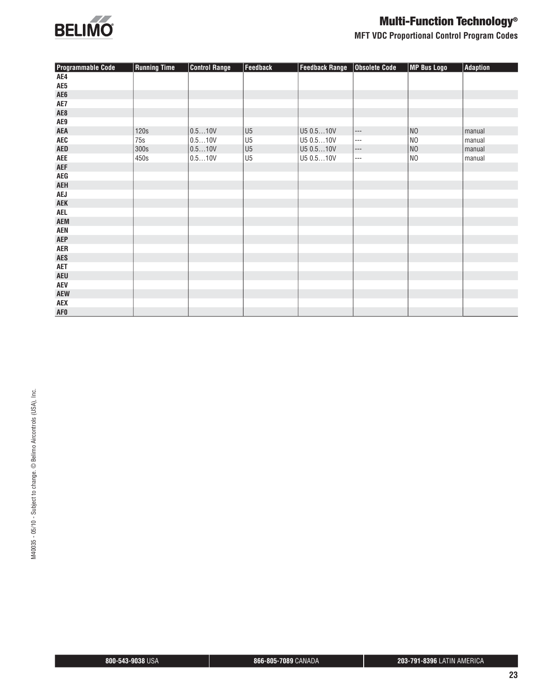

**MFT VDC Proportional Control Program Codes**

| <b>Programmable Code</b>         | <b>Running Time</b> | <b>Control Range</b> | <b>Feedback</b> | <b>Feedback Range</b> | <b>Obsolete Code</b>                                                                                                                                                              | MP Bus Logo    | <b>Adaption</b> |
|----------------------------------|---------------------|----------------------|-----------------|-----------------------|-----------------------------------------------------------------------------------------------------------------------------------------------------------------------------------|----------------|-----------------|
| AE4                              |                     |                      |                 |                       |                                                                                                                                                                                   |                |                 |
| AE5                              |                     |                      |                 |                       |                                                                                                                                                                                   |                |                 |
| AE <sub>6</sub>                  |                     |                      |                 |                       |                                                                                                                                                                                   |                |                 |
| AE7                              |                     |                      |                 |                       |                                                                                                                                                                                   |                |                 |
| AE8                              |                     |                      |                 |                       |                                                                                                                                                                                   |                |                 |
| AE9                              |                     |                      |                 |                       |                                                                                                                                                                                   |                |                 |
| <b>AEA</b>                       | 120s                | 0.510V               | U5              | U5 0.510V             | $\hspace{0.05cm} \ldots$                                                                                                                                                          | NO             | manual          |
| AEC                              | 75s                 | 0.510V               | U <sub>5</sub>  | U5 0.510V             | ---                                                                                                                                                                               | N <sub>O</sub> | manual          |
| <b>AED</b>                       | 300s                | 0.510V               | U <sub>5</sub>  | U5 0.510V             | $\hspace{0.02in} \hspace{0.02in} \hspace{0.02in} \hspace{0.02in} \hspace{0.02in} \hspace{0.02in} \hspace{0.02in} \hspace{0.02in} \hspace{0.02in} \hspace{0.02in} \hspace{0.02in}$ | NO             | manual          |
| <b>AEE</b>                       | 450s                | 0.510V               | U <sub>5</sub>  | U5 0.510V             | $---$                                                                                                                                                                             | NO             | manual          |
| <b>AEF</b>                       |                     |                      |                 |                       |                                                                                                                                                                                   |                |                 |
| $\mathsf{A}\mathsf{E}\mathsf{G}$ |                     |                      |                 |                       |                                                                                                                                                                                   |                |                 |
| <b>AEH</b>                       |                     |                      |                 |                       |                                                                                                                                                                                   |                |                 |
| <b>AEJ</b>                       |                     |                      |                 |                       |                                                                                                                                                                                   |                |                 |
| <b>AEK</b>                       |                     |                      |                 |                       |                                                                                                                                                                                   |                |                 |
| <b>AEL</b>                       |                     |                      |                 |                       |                                                                                                                                                                                   |                |                 |
| <b>AEM</b>                       |                     |                      |                 |                       |                                                                                                                                                                                   |                |                 |
| <b>AEN</b>                       |                     |                      |                 |                       |                                                                                                                                                                                   |                |                 |
| <b>AEP</b>                       |                     |                      |                 |                       |                                                                                                                                                                                   |                |                 |
| <b>AER</b>                       |                     |                      |                 |                       |                                                                                                                                                                                   |                |                 |
| <b>AES</b>                       |                     |                      |                 |                       |                                                                                                                                                                                   |                |                 |
| <b>AET</b>                       |                     |                      |                 |                       |                                                                                                                                                                                   |                |                 |
| <b>AEU</b>                       |                     |                      |                 |                       |                                                                                                                                                                                   |                |                 |
| <b>AEV</b>                       |                     |                      |                 |                       |                                                                                                                                                                                   |                |                 |
| <b>AEW</b>                       |                     |                      |                 |                       |                                                                                                                                                                                   |                |                 |
| AEX                              |                     |                      |                 |                       |                                                                                                                                                                                   |                |                 |
| <b>AFO</b>                       |                     |                      |                 |                       |                                                                                                                                                                                   |                |                 |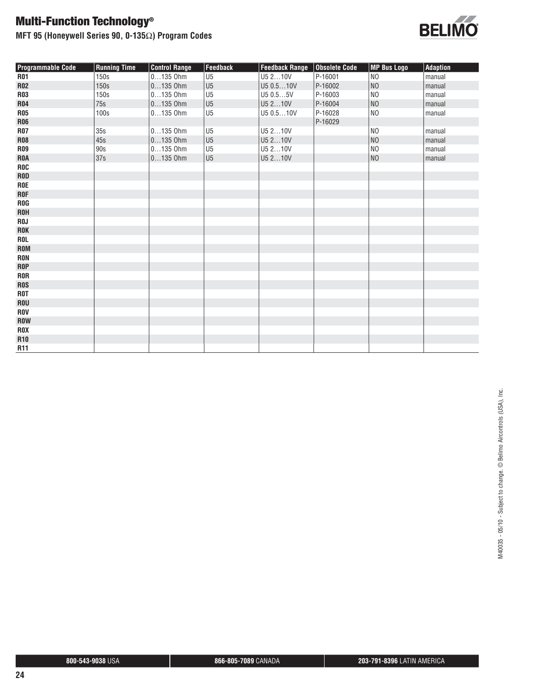**MFT 95 (Honeywell Series 90, 0-135**Ω**) Program Codes**



| <b>Programmable Code</b> | <b>Running Time</b> | <b>Control Range</b> | <b>Feedback</b> | <b>Feedback Range</b> | Obsolete Code | <b>MP Bus Logo</b> | Adaption |
|--------------------------|---------------------|----------------------|-----------------|-----------------------|---------------|--------------------|----------|
| <b>R01</b>               | 150s                | $0135$ Ohm           | U <sub>5</sub>  | U5 210V               | P-16001       | N <sub>O</sub>     | manual   |
| <b>R02</b>               | 150s                | $0135$ Ohm           | U <sub>5</sub>  | U5 0.510V             | P-16002       | NO                 | manual   |
| <b>R03</b>               | 150s                | $0135$ Ohm           | U <sub>5</sub>  | U5 0.55V              | P-16003       | N <sub>0</sub>     | manual   |
| R04                      | 75s                 | $0135$ Ohm           | U <sub>5</sub>  | U5 210V               | P-16004       | NO                 | manual   |
| <b>R05</b>               | 100s                | $0135$ Ohm           | U <sub>5</sub>  | U5 0.510V             | P-16028       | N <sub>O</sub>     | manual   |
| <b>R06</b>               |                     |                      |                 |                       | P-16029       |                    |          |
| <b>R07</b>               | 35s                 | $0135$ Ohm           | U <sub>5</sub>  | U5 210V               |               | N <sub>O</sub>     | manual   |
| <b>R08</b>               | 45s                 | $0135$ Ohm           | U <sub>5</sub>  | U5 210V               |               | NO                 | manual   |
| <b>R09</b>               | 90s                 | $0135$ Ohm           | U <sub>5</sub>  | U5 210V               |               | N <sub>O</sub>     | manual   |
| <b>ROA</b>               | 37s                 | $0135$ Ohm           | U <sub>5</sub>  | U5 210V               |               | NO                 | manual   |
| <b>ROC</b>               |                     |                      |                 |                       |               |                    |          |
| <b>ROD</b>               |                     |                      |                 |                       |               |                    |          |
| <b>ROE</b>               |                     |                      |                 |                       |               |                    |          |
| <b>ROF</b>               |                     |                      |                 |                       |               |                    |          |
| <b>ROG</b>               |                     |                      |                 |                       |               |                    |          |
| <b>ROH</b>               |                     |                      |                 |                       |               |                    |          |
| R0J                      |                     |                      |                 |                       |               |                    |          |
| ROK                      |                     |                      |                 |                       |               |                    |          |
| ROL                      |                     |                      |                 |                       |               |                    |          |
| ROM                      |                     |                      |                 |                       |               |                    |          |
| <b>RON</b>               |                     |                      |                 |                       |               |                    |          |
| <b>ROP</b>               |                     |                      |                 |                       |               |                    |          |
| <b>ROR</b>               |                     |                      |                 |                       |               |                    |          |
| <b>ROS</b>               |                     |                      |                 |                       |               |                    |          |
| <b>ROT</b>               |                     |                      |                 |                       |               |                    |          |
| <b>ROU</b>               |                     |                      |                 |                       |               |                    |          |
| <b>ROV</b>               |                     |                      |                 |                       |               |                    |          |
| <b>ROW</b>               |                     |                      |                 |                       |               |                    |          |
| <b>ROX</b>               |                     |                      |                 |                       |               |                    |          |
| <b>R10</b>               |                     |                      |                 |                       |               |                    |          |
| <b>R11</b>               |                     |                      |                 |                       |               |                    |          |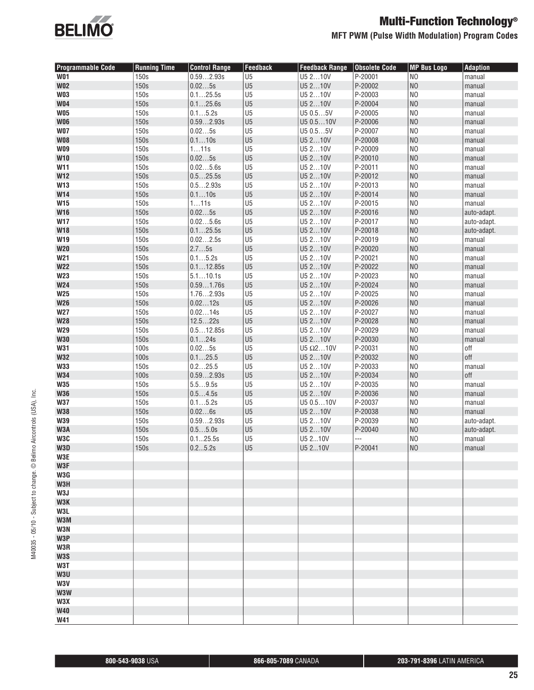

### **MFT PWM (Pulse Width Modulation) Program Codes**

| <b>Programmable Code</b> | <b>Running Time</b> | <b>Control Range</b> | <b>Feedback</b> | <b>Feedback Range</b> | <b>Obsolete Code</b> | <b>MP Bus Logo</b> | <b>Adaption</b> |
|--------------------------|---------------------|----------------------|-----------------|-----------------------|----------------------|--------------------|-----------------|
| <b>W01</b>               | 150s                | 0.592.93s            | U <sub>5</sub>  | U5 210V               | P-20001              | N <sub>0</sub>     | manual          |
| <b>W02</b>               | 150s                | 0.025s               | U <sub>5</sub>  | U5 210V               | P-20002              | N <sub>0</sub>     | manual          |
| <b>W03</b>               | 150s                | 0.125.5s             | U <sub>5</sub>  | U5 210V               | P-20003              | N <sub>0</sub>     | manual          |
| <b>W04</b>               | 150s                | 0.125.6s             | U <sub>5</sub>  | U5 210V               | P-20004              | N <sub>0</sub>     | manual          |
| <b>W05</b>               | 150s                | 0.15.2s              | U <sub>5</sub>  | U5 0.55V              | P-20005              | N <sub>0</sub>     | manual          |
| <b>W06</b>               | 150s                | 0.592.93s            | U <sub>5</sub>  | U5 0.510V             | P-20006              | N <sub>0</sub>     | manual          |
| <b>W07</b>               | 150s                | 0.025s               | U <sub>5</sub>  | U5 0.55V              | P-20007              | N <sub>0</sub>     | manual          |
| <b>W08</b>               | 150s                | 0.110s               | U <sub>5</sub>  | U5 210V               | P-20008              | N <sub>0</sub>     | manual          |
| <b>W09</b>               | 150s                | 111s                 | U <sub>5</sub>  | U5 210V               | P-20009              | N <sub>0</sub>     | manual          |
| W10                      | 150s                | 0.025s               | U <sub>5</sub>  | U5 210V               | P-20010              | N <sub>0</sub>     | manual          |
| W11                      | 150s                | 0.025.6s             | U <sub>5</sub>  | U5 210V               | P-20011              | N <sub>0</sub>     | manual          |
| <b>W12</b>               | 150s                | 0.525.5s             | U <sub>5</sub>  | U5 210V               | P-20012              | N <sub>0</sub>     | manual          |
| W13                      | 150s                | 0.52.93s             | U <sub>5</sub>  | U5 210V               | P-20013              | N <sub>0</sub>     | manual          |
| W14                      | 150s                | 0.110s               | U <sub>5</sub>  | U5 210V               | P-20014              | N <sub>0</sub>     | manual          |
| <b>W15</b>               | 150s                | 111s                 | U <sub>5</sub>  | U5 210V               | P-20015              | N <sub>0</sub>     | manual          |
| <b>W16</b>               | 150s                | 0.025s               | U <sub>5</sub>  | U5 210V               | P-20016              | N <sub>0</sub>     | auto-adapt.     |
| <b>W17</b>               | 150s                | 0.025.6s             | U <sub>5</sub>  | U5 210V               | P-20017              | N <sub>0</sub>     | auto-adapt.     |
| <b>W18</b>               | 150s                | 0.125.5s             | U <sub>5</sub>  | U5 210V               | P-20018              | N <sub>0</sub>     | auto-adapt.     |
| W19                      | 150s                | 0.022.5s             | U <sub>5</sub>  | U5 210V               | P-20019              | N <sub>O</sub>     | manual          |
| W20                      | 150s                | 2.75s                | U <sub>5</sub>  | U5 210V               | P-20020              | N <sub>0</sub>     | manual          |
| <b>W21</b>               | 150s                | 0.15.2s              | U <sub>5</sub>  | U5 210V               | P-20021              | N <sub>0</sub>     | manual          |
| <b>W22</b>               | 150s                | 0.112.85s            | U <sub>5</sub>  | U5 210V               | P-20022              | N <sub>0</sub>     | manual          |
| <b>W23</b>               | 150s                | 5.110.1s             | U <sub>5</sub>  | U5 210V               | P-20023              | N <sub>0</sub>     | manual          |
| <b>W24</b>               | 150s                | 0.591.76s            | U <sub>5</sub>  | U5 210V               | P-20024              | N <sub>0</sub>     | manual          |
| <b>W25</b>               | 150s                | 1.762.93s            | U <sub>5</sub>  | U5 210V               | P-20025              | N <sub>0</sub>     | manual          |
| <b>W26</b>               | 150s                | 0.0212s              | U <sub>5</sub>  | U5 210V               | P-20026              | N <sub>0</sub>     | manual          |
| <b>W27</b>               | 150s                | 0.0214s              | U <sub>5</sub>  | U5 210V               | P-20027              | N <sub>0</sub>     | manual          |
| <b>W28</b>               | 150s                | 12.522s              | U <sub>5</sub>  | U5 210V               | P-20028              | N <sub>0</sub>     | manual          |
| <b>W29</b>               | 150s                | 0.512.85s            | U <sub>5</sub>  | U5 210V               | P-20029              | N <sub>0</sub>     | manual          |
| <b>W30</b>               | 150s                | 0.124s               | U <sub>5</sub>  | U5 210V               | P-20030              | N <sub>O</sub>     | manual          |
| <b>W31</b>               | 100s                | 0.025s               | U <sub>5</sub>  | U5 $\Omega$ 210V      | P-20031              | N <sub>0</sub>     | off             |
| <b>W32</b>               | 100s                | 0.125.5              | U <sub>5</sub>  | U5 210V               | P-20032              | N <sub>0</sub>     | off             |
| <b>W33</b>               | 150s                | 0.225.5              | U <sub>5</sub>  | U5 210V               | P-20033              | N <sub>0</sub>     | manual          |
| <b>W34</b>               | 100s                | 0.592.93s            | U <sub>5</sub>  | U5 210V               | P-20034              | N <sub>0</sub>     | off             |
| <b>W35</b>               | 150s                | 5.59.5s              | U <sub>5</sub>  | U5 210V               | P-20035              | N <sub>0</sub>     | manual          |
| <b>W36</b>               | 150s                | 0.54.5s              | U <sub>5</sub>  | U5 210V               | P-20036              | N <sub>0</sub>     | manual          |
| <b>W37</b>               | 150s                | 0.15.2s              | U <sub>5</sub>  | U5 0.510V             | P-20037              | N <sub>0</sub>     | manual          |
| <b>W38</b>               | 150s                | 0.026s               | U <sub>5</sub>  | U5 210V               | P-20038              | N <sub>0</sub>     | manual          |
| <b>W39</b>               | 150s                | 0.592.93s            | U <sub>5</sub>  | U5 210V               | P-20039              | N <sub>0</sub>     | auto-adapt.     |
| W3A                      | 150s                | 0.55.0s              | U <sub>5</sub>  | U5 210V               | P-20040              | N <sub>0</sub>     | auto-adapt.     |
| W3C                      | 150s                | 0.125.5s             | U <sub>5</sub>  | U5 210V               | ---                  | N <sub>0</sub>     | manual          |
| W3D                      | 150s                | 0.25.2s              | U5              | U5 210V               | P-20041              | N <sub>O</sub>     | manual          |
| W3E<br>W3F               |                     |                      |                 |                       |                      |                    |                 |
| W3G                      |                     |                      |                 |                       |                      |                    |                 |
| W3H                      |                     |                      |                 |                       |                      |                    |                 |
| W3J                      |                     |                      |                 |                       |                      |                    |                 |
| W3K                      |                     |                      |                 |                       |                      |                    |                 |
| W3L                      |                     |                      |                 |                       |                      |                    |                 |
| W3M                      |                     |                      |                 |                       |                      |                    |                 |
| W3N                      |                     |                      |                 |                       |                      |                    |                 |
| W3P                      |                     |                      |                 |                       |                      |                    |                 |
| W3R                      |                     |                      |                 |                       |                      |                    |                 |
| W3S                      |                     |                      |                 |                       |                      |                    |                 |
| W3T                      |                     |                      |                 |                       |                      |                    |                 |
| W3U                      |                     |                      |                 |                       |                      |                    |                 |
| W3V                      |                     |                      |                 |                       |                      |                    |                 |
| W3W                      |                     |                      |                 |                       |                      |                    |                 |
| W3X                      |                     |                      |                 |                       |                      |                    |                 |
| <b>W40</b>               |                     |                      |                 |                       |                      |                    |                 |
| W41                      |                     |                      |                 |                       |                      |                    |                 |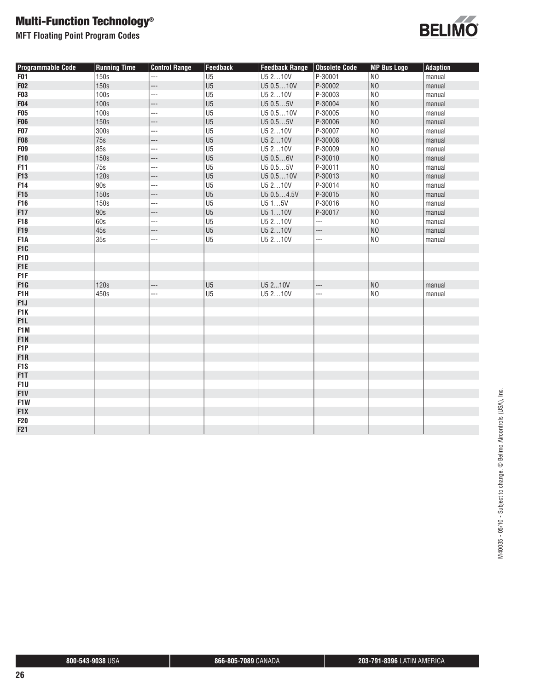**MFT Floating Point Program Codes**



| <b>Programmable Code</b> | <b>Running Time</b> | <b>Control Range</b> | <b>Feedback</b> | <b>Feedback Range</b> | Obsolete Code            | <b>MP Bus Logo</b> | <b>Adaption</b> |
|--------------------------|---------------------|----------------------|-----------------|-----------------------|--------------------------|--------------------|-----------------|
| <b>F01</b>               | 150s                | ---                  | U <sub>5</sub>  | U5 210V               | P-30001                  | N <sub>0</sub>     | manual          |
| <b>F02</b>               | 150s                | ---                  | U <sub>5</sub>  | U5 0.510V             | P-30002                  | N <sub>0</sub>     | manual          |
| F03                      | 100s                | ---                  | U <sub>5</sub>  | U5 210V               | P-30003                  | N <sub>0</sub>     | manual          |
| F04                      | 100s                | ---                  | U <sub>5</sub>  | U5 0.55V              | P-30004                  | N <sub>0</sub>     | manual          |
| <b>F05</b>               | 100s                | $\overline{a}$       | U <sub>5</sub>  | U5 0.510V             | P-30005                  | N <sub>0</sub>     | manual          |
| <b>F06</b>               | 150s                | $---$                | U <sub>5</sub>  | U5 0.55V              | P-30006                  | N <sub>O</sub>     | manual          |
| <b>F07</b>               | 300s                | ---                  | U <sub>5</sub>  | U5 210V               | P-30007                  | N <sub>0</sub>     | manual          |
| <b>F08</b>               | 75s                 | ---                  | U <sub>5</sub>  | U5 210V               | P-30008                  | N <sub>0</sub>     | manual          |
| F09                      | <b>85s</b>          | ---                  | U <sub>5</sub>  | U5 210V               | P-30009                  | N <sub>O</sub>     | manual          |
| F10                      | 150s                | ---                  | U <sub>5</sub>  | U5 0.56V              | P-30010                  | N <sub>0</sub>     | manual          |
| F11                      | 75s                 | ---                  | U <sub>5</sub>  | U5 0.55V              | P-30011                  | N <sub>0</sub>     | manual          |
| F13                      | 120s                | ---                  | U <sub>5</sub>  | U5 0.510V             | P-30013                  | N <sub>O</sub>     | manual          |
| F14                      | 90s                 | ---                  | U <sub>5</sub>  | U5 210V               | P-30014                  | N <sub>0</sub>     | manual          |
| F15                      | 150s                | ---                  | U <sub>5</sub>  | U5 0.54.5V            | P-30015                  | N <sub>0</sub>     | manual          |
| F16                      | 150s                | ---                  | U <sub>5</sub>  | U515V                 | P-30016                  | N <sub>0</sub>     | manual          |
| F17                      | 90s                 | ---                  | U <sub>5</sub>  | U5110V                | P-30017                  | N <sub>0</sub>     | manual          |
| F18                      | 60s                 | ---                  | U <sub>5</sub>  | U5 210V               |                          | N <sub>0</sub>     | manual          |
| F19                      | 45s                 | ---                  | U <sub>5</sub>  | U5 210V               | $\overline{\phantom{a}}$ | N <sub>O</sub>     | manual          |
| F <sub>1</sub> A         | 35s                 | ---                  | U <sub>5</sub>  | U5 210V               | $\overline{a}$           | N <sub>0</sub>     | manual          |
| F <sub>1</sub> C         |                     |                      |                 |                       |                          |                    |                 |
| F <sub>1</sub> D         |                     |                      |                 |                       |                          |                    |                 |
| F <sub>1</sub> E         |                     |                      |                 |                       |                          |                    |                 |
| F <sub>1</sub> F         |                     |                      |                 |                       |                          |                    |                 |
| F1G                      | 120s                | ---                  | U <sub>5</sub>  | U5 210V               | $\overline{\phantom{a}}$ | N <sub>O</sub>     | manual          |
| F1H                      | 450s                | ---                  | U <sub>5</sub>  | U5 210V               | ---                      | N <sub>0</sub>     | manual          |
| F <sub>1</sub>           |                     |                      |                 |                       |                          |                    |                 |
| F1K                      |                     |                      |                 |                       |                          |                    |                 |
| F <sub>1</sub> L         |                     |                      |                 |                       |                          |                    |                 |
| F1M                      |                     |                      |                 |                       |                          |                    |                 |
| F <sub>1</sub> N         |                     |                      |                 |                       |                          |                    |                 |
| F <sub>1</sub> P         |                     |                      |                 |                       |                          |                    |                 |
| F <sub>1</sub> R         |                     |                      |                 |                       |                          |                    |                 |
| F <sub>1</sub> S         |                     |                      |                 |                       |                          |                    |                 |
| F1T                      |                     |                      |                 |                       |                          |                    |                 |
| F1U                      |                     |                      |                 |                       |                          |                    |                 |
| F1V                      |                     |                      |                 |                       |                          |                    |                 |
| F1W                      |                     |                      |                 |                       |                          |                    |                 |
| F <sub>1</sub> X         |                     |                      |                 |                       |                          |                    |                 |
| <b>F20</b>               |                     |                      |                 |                       |                          |                    |                 |
| F21                      |                     |                      |                 |                       |                          |                    |                 |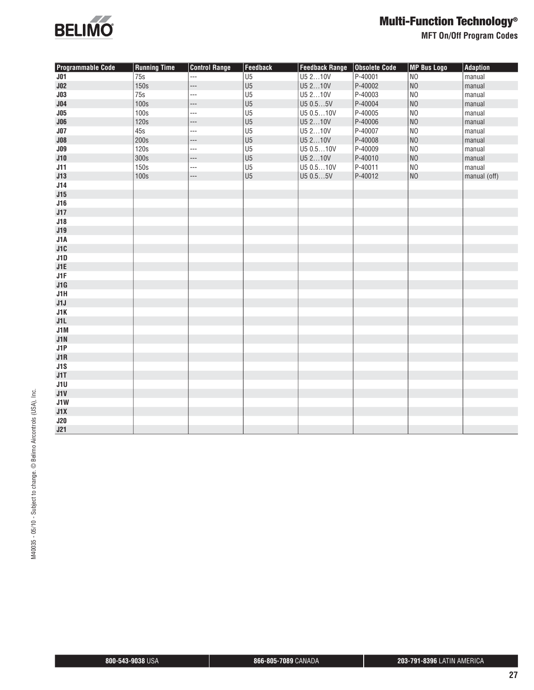

**MFT On/Off Program Codes**

| <b>Programmable Code</b> | <b>Running Time</b> | <b>Control Range</b> | Feedback       | <b>Feedback Range</b> | <b>Obsolete Code</b> | <b>MP Bus Logo</b> | <b>Adaption</b> |
|--------------------------|---------------------|----------------------|----------------|-----------------------|----------------------|--------------------|-----------------|
| J <sub>01</sub>          | 75s                 | $\overline{a}$       | U <sub>5</sub> | U5 210V               | P-40001              | N <sub>O</sub>     | manual          |
| J <sub>02</sub>          | 150s                | ---                  | U <sub>5</sub> | U5 210V               | P-40002              | NO                 | manual          |
| J <sub>03</sub>          | 75s                 | ---                  | U <sub>5</sub> | U5 210V               | P-40003              | N <sub>0</sub>     | manual          |
| J <sub>04</sub>          | 100s                | ---                  | U <sub>5</sub> | U5 0.55V              | P-40004              | NO                 | manual          |
| J05                      | 100s                | ---                  | U <sub>5</sub> | U5 0.510V             | P-40005              | N <sub>0</sub>     | manual          |
| J06                      | 120s                | ---                  | U <sub>5</sub> | U5 210V               | P-40006              | N <sub>O</sub>     | manual          |
| J <sub>07</sub>          | 45s                 | ---                  | U <sub>5</sub> | U5 210V               | P-40007              | N <sub>0</sub>     | manual          |
| J08                      | 200s                | ---                  | U <sub>5</sub> | U5 210V               | P-40008              | N <sub>0</sub>     | manual          |
| J09                      | 120s                | ---                  | U <sub>5</sub> | U5 0.510V             | P-40009              | N <sub>0</sub>     | manual          |
| J10                      | 300s                | ---                  | U <sub>5</sub> | U5 210V               | P-40010              | NO                 | manual          |
| J11                      | 150s                | ---                  | U <sub>5</sub> | U5 0.510V             | P-40011              | N <sub>0</sub>     | manual          |
| J13                      | 100s                | ---                  | U <sub>5</sub> | U5 0.55V              | P-40012              | NO                 | manual (off)    |
| J14                      |                     |                      |                |                       |                      |                    |                 |
| J15                      |                     |                      |                |                       |                      |                    |                 |
| J16                      |                     |                      |                |                       |                      |                    |                 |
| J17                      |                     |                      |                |                       |                      |                    |                 |
| J18                      |                     |                      |                |                       |                      |                    |                 |
| J19                      |                     |                      |                |                       |                      |                    |                 |
| J1A                      |                     |                      |                |                       |                      |                    |                 |
| J1C                      |                     |                      |                |                       |                      |                    |                 |
| J1D                      |                     |                      |                |                       |                      |                    |                 |
| J1E                      |                     |                      |                |                       |                      |                    |                 |
| J1F                      |                     |                      |                |                       |                      |                    |                 |
| J1G                      |                     |                      |                |                       |                      |                    |                 |
| J1H                      |                     |                      |                |                       |                      |                    |                 |
| J1J                      |                     |                      |                |                       |                      |                    |                 |
| J1K                      |                     |                      |                |                       |                      |                    |                 |
| J1L                      |                     |                      |                |                       |                      |                    |                 |
| J1M                      |                     |                      |                |                       |                      |                    |                 |
| J1N                      |                     |                      |                |                       |                      |                    |                 |
| J1P                      |                     |                      |                |                       |                      |                    |                 |
| J1R                      |                     |                      |                |                       |                      |                    |                 |
| J1S                      |                     |                      |                |                       |                      |                    |                 |
| J1T                      |                     |                      |                |                       |                      |                    |                 |
| J1U                      |                     |                      |                |                       |                      |                    |                 |
| J1V                      |                     |                      |                |                       |                      |                    |                 |
| J1W                      |                     |                      |                |                       |                      |                    |                 |
| J1X                      |                     |                      |                |                       |                      |                    |                 |
| J20                      |                     |                      |                |                       |                      |                    |                 |
| J21                      |                     |                      |                |                       |                      |                    |                 |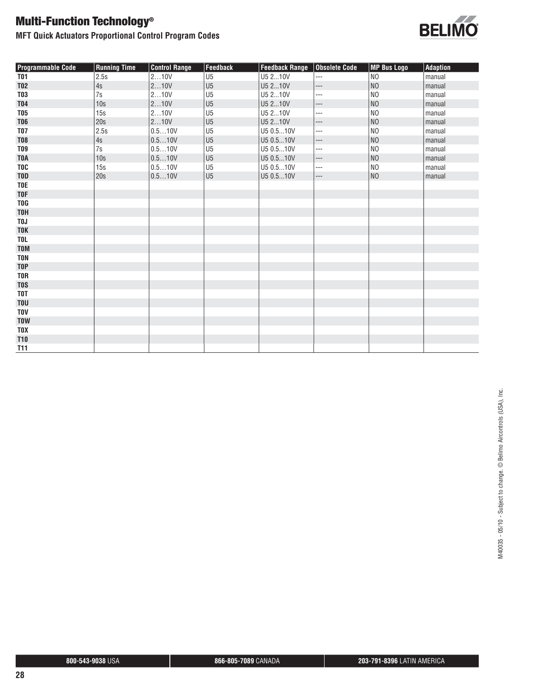**MFT Quick Actuators Proportional Control Program Codes**



| <b>Programmable Code</b> | <b>Running Time</b> | <b>Control Range</b> | Feedback       | <b>Feedback Range</b> | Obsolete Code            | <b>MP Bus Logo</b> | Adaption |
|--------------------------|---------------------|----------------------|----------------|-----------------------|--------------------------|--------------------|----------|
| <b>T01</b>               | 2.5s                | 210V                 | U <sub>5</sub> | U5 210V               | $---$                    | N <sub>O</sub>     | manual   |
| <b>T02</b>               | 4s                  | 210V                 | U <sub>5</sub> | U5 210V               | ---                      | NO                 | manual   |
| <b>T03</b>               | 7s                  | 210V                 | U <sub>5</sub> | U5 210V               | ---                      | N <sub>O</sub>     | manual   |
| <b>T04</b>               | 10s                 | 210V                 | U <sub>5</sub> | U5 210V               | ---                      | NO                 | manual   |
| <b>T05</b>               | 15s                 | 210V                 | U <sub>5</sub> | U5 210V               | ---                      | INO                | manual   |
| <b>T06</b>               | 20s                 | 210V                 | U <sub>5</sub> | U5 210V               | ---                      | N <sub>O</sub>     | manual   |
| <b>T07</b>               | 2.5s                | 0.510V               | U <sub>5</sub> | U5 0.510V             | ---                      | N <sub>O</sub>     | manual   |
| <b>T08</b>               | 4s                  | 0.510V               | U <sub>5</sub> | U5 0.510V             | $\overline{\phantom{a}}$ | NO                 | manual   |
| <b>T09</b>               | 7s                  | 0.510V               | U <sub>5</sub> | U5 0.510V             | ---                      | N <sub>O</sub>     | manual   |
| <b>TOA</b>               | 10 <sub>s</sub>     | 0.510V               | U <sub>5</sub> | U5 0.510V             | ---                      | NO                 | manual   |
| <b>TOC</b>               | 15s                 | 0.510V               | U <sub>5</sub> | U5 0.510V             | ---                      | N <sub>O</sub>     | manual   |
| <b>TOD</b>               | 20s                 | 0.510V               | U <sub>5</sub> | U5 0.510V             | ---                      | NO                 | manual   |
| <b>TOE</b>               |                     |                      |                |                       |                          |                    |          |
| <b>TOF</b>               |                     |                      |                |                       |                          |                    |          |
| <b>TOG</b>               |                     |                      |                |                       |                          |                    |          |
| <b>TOH</b>               |                     |                      |                |                       |                          |                    |          |
| T <sub>0</sub> J         |                     |                      |                |                       |                          |                    |          |
| <b>TOK</b>               |                     |                      |                |                       |                          |                    |          |
| <b>TOL</b>               |                     |                      |                |                       |                          |                    |          |
| <b>TOM</b>               |                     |                      |                |                       |                          |                    |          |
| <b>TON</b>               |                     |                      |                |                       |                          |                    |          |
| <b>TOP</b>               |                     |                      |                |                       |                          |                    |          |
| <b>TOR</b>               |                     |                      |                |                       |                          |                    |          |
| <b>TOS</b>               |                     |                      |                |                       |                          |                    |          |
| <b>TOT</b>               |                     |                      |                |                       |                          |                    |          |
| <b>TOU</b>               |                     |                      |                |                       |                          |                    |          |
| <b>TOV</b>               |                     |                      |                |                       |                          |                    |          |
| <b>TOW</b>               |                     |                      |                |                       |                          |                    |          |
| <b>TOX</b>               |                     |                      |                |                       |                          |                    |          |
| <b>T10</b>               |                     |                      |                |                       |                          |                    |          |
| <b>T11</b>               |                     |                      |                |                       |                          |                    |          |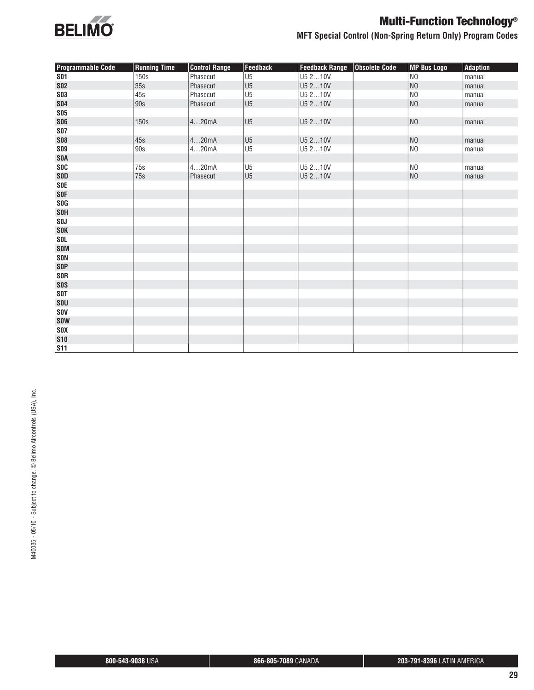

### **MFT Special Control (Non-Spring Return Only) Program Codes**

| <b>Programmable Code</b> | <b>Running Time</b> | <b>Control Range</b> | <b>Feedback</b> | <b>Feedback Range</b> | <b>Obsolete Code</b> | <b>MP Bus Logo</b> | <b>Adaption</b> |
|--------------------------|---------------------|----------------------|-----------------|-----------------------|----------------------|--------------------|-----------------|
| <b>S01</b>               | 150s                | Phasecut             | U <sub>5</sub>  | U5 210V               |                      | N <sub>O</sub>     | manual          |
| <b>SO2</b>               | 35s                 | Phasecut             | U <sub>5</sub>  | U5 210V               |                      | N <sub>O</sub>     | manual          |
| <b>SO3</b>               | 45s                 | Phasecut             | U <sub>5</sub>  | U5 210V               |                      | N <sub>O</sub>     | manual          |
| <b>SO4</b>               | 90s                 | Phasecut             | U <sub>5</sub>  | U5 210V               |                      | N <sub>O</sub>     | manual          |
| <b>SO5</b>               |                     |                      |                 |                       |                      |                    |                 |
| <b>SO6</b>               | 150s                | 420mA                | U <sub>5</sub>  | U5 210V               |                      | NO                 | manual          |
| <b>SO7</b>               |                     |                      |                 |                       |                      |                    |                 |
| <b>SO8</b>               | 45s                 | 420mA                | U <sub>5</sub>  | U5 210V               |                      | N <sub>O</sub>     | manual          |
| <b>SO9</b>               | 90s                 | 420mA                | U <sub>5</sub>  | U5 210V               |                      | $_{\rm NO}$        | manual          |
| <b>SOA</b>               |                     |                      |                 |                       |                      |                    |                 |
| <b>SOC</b>               | 75s                 | 420mA                | U <sub>5</sub>  | U5 210V               |                      | N <sub>O</sub>     | manual          |
| <b>SOD</b>               | 75s                 | Phasecut             | U <sub>5</sub>  | U5 210V               |                      | N <sub>O</sub>     | manual          |
| <b>SOE</b>               |                     |                      |                 |                       |                      |                    |                 |
| <b>SOF</b>               |                     |                      |                 |                       |                      |                    |                 |
| <b>SOG</b>               |                     |                      |                 |                       |                      |                    |                 |
| <b>SOH</b>               |                     |                      |                 |                       |                      |                    |                 |
| <b>SOJ</b>               |                     |                      |                 |                       |                      |                    |                 |
| <b>SOK</b>               |                     |                      |                 |                       |                      |                    |                 |
| <b>SOL</b>               |                     |                      |                 |                       |                      |                    |                 |
| <b>SOM</b>               |                     |                      |                 |                       |                      |                    |                 |
| <b>SON</b>               |                     |                      |                 |                       |                      |                    |                 |
| <b>SOP</b>               |                     |                      |                 |                       |                      |                    |                 |
| <b>SOR</b>               |                     |                      |                 |                       |                      |                    |                 |
| <b>SOS</b>               |                     |                      |                 |                       |                      |                    |                 |
| <b>SOT</b>               |                     |                      |                 |                       |                      |                    |                 |
| SOU                      |                     |                      |                 |                       |                      |                    |                 |
| <b>SOV</b>               |                     |                      |                 |                       |                      |                    |                 |
| <b>SOW</b>               |                     |                      |                 |                       |                      |                    |                 |
| <b>SOX</b>               |                     |                      |                 |                       |                      |                    |                 |
| <b>S10</b>               |                     |                      |                 |                       |                      |                    |                 |
| <b>S11</b>               |                     |                      |                 |                       |                      |                    |                 |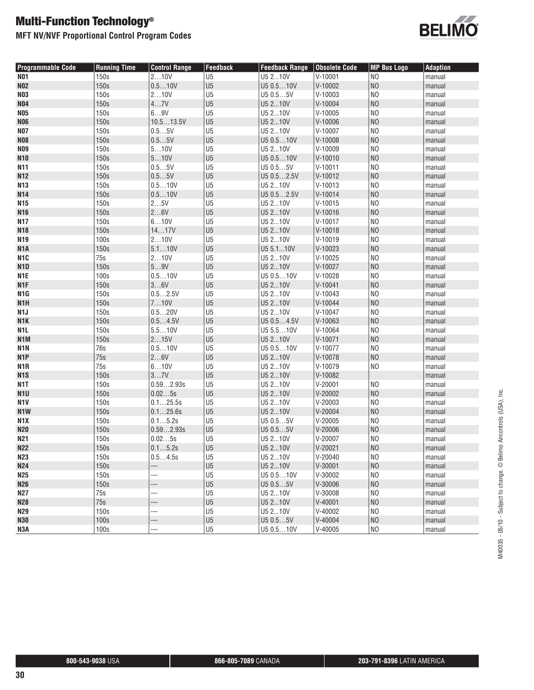**MFT NV/NVF Proportional Control Program Codes**



| <b>Programmable Code</b> | <b>Running Time</b> | <b>Control Range</b> | Feedback       | <b>Feedback Range</b> | Obsolete Code | <b>MP Bus Logo</b> | <b>Adaption</b> |
|--------------------------|---------------------|----------------------|----------------|-----------------------|---------------|--------------------|-----------------|
| <b>NO1</b>               | 150s                | 210V                 | U <sub>5</sub> | U5 210V               | $V-10001$     | N <sub>0</sub>     | manual          |
| <b>NO2</b>               | 150s                | 0.510V               | U <sub>5</sub> | U5 0.510V             | $V-10002$     | N <sub>O</sub>     | manual          |
| <b>N03</b>               | 150s                | 210V                 | U <sub>5</sub> | U5 0.55V              | $V-10003$     | N <sub>0</sub>     | manual          |
| <b>N04</b>               | 150s                | 47V                  | U <sub>5</sub> | U5 210V               | $V-10004$     | N <sub>0</sub>     | manual          |
| <b>N05</b>               | 150s                | 69V                  | U <sub>5</sub> | U5 210V               | $V-10005$     | N <sub>0</sub>     | manual          |
| <b>NO6</b>               | 150s                | 10.513.5V            | U <sub>5</sub> | U5 210V               | $V-10006$     | N <sub>O</sub>     | manual          |
| <b>NO7</b>               | 150s                | 0.55V                | U <sub>5</sub> | U5 210V               | $V-10007$     | N <sub>0</sub>     | manual          |
| <b>N08</b>               | 150s                | 0.55V                | U <sub>5</sub> | U5 0.510V             | $V-10008$     | N <sub>O</sub>     | manual          |
| <b>NO9</b>               | 150s                | 510V                 | U <sub>5</sub> | U5 210V               | $V-10009$     | N <sub>O</sub>     | manual          |
| <b>N10</b>               | 150s                | 510V                 | U <sub>5</sub> | U5 0.510V             | $V-10010$     | N <sub>O</sub>     | manual          |
| N11                      | 150s                | 0.55V                | U <sub>5</sub> | U5 0.55V              | $V-10011$     | N <sub>O</sub>     | manual          |
| <b>N12</b>               | 150s                | 0.55V                | U <sub>5</sub> | U5 0.52.5V            | $V-10012$     | N <sub>O</sub>     | manual          |
| N13                      | 150s                | 0.510V               | U <sub>5</sub> | U5 210V               | $V-10013$     | N <sub>O</sub>     | manual          |
| <b>N14</b>               | 150s                | 0.510V               | U <sub>5</sub> | U5 0.52.5V            | $V-10014$     | N <sub>O</sub>     | manual          |
| <b>N15</b>               | 150s                | 25V                  | U <sub>5</sub> | U5 210V               | $V-10015$     | N <sub>O</sub>     | manual          |
| <b>N16</b>               | 150s                | 26V                  | U <sub>5</sub> | U5 210V               | $V-10016$     | N <sub>O</sub>     | manual          |
| N17                      | 150s                | 610V                 | U <sub>5</sub> | U5 210V               | $V-10017$     | N <sub>O</sub>     | manual          |
| <b>N18</b>               | 150s                | 1417V                | U <sub>5</sub> | U5 210V               | $V-10018$     | N <sub>O</sub>     | manual          |
| N19                      | 100s                | 210V                 | U <sub>5</sub> | U5 210V               | $V-10019$     | N <sub>O</sub>     | manual          |
| N <sub>1</sub> A         | 150s                | 5.110V               | U <sub>5</sub> | U5 5.110V             | $V-10023$     | N <sub>O</sub>     | manual          |
| N1C                      | 75s                 | 210V                 | U <sub>5</sub> | U5 210V               | $V-10025$     | N <sub>O</sub>     | manual          |
| N <sub>1</sub> D         | 150s                | 59V                  | U <sub>5</sub> | U5 210V               | $V-10027$     | N <sub>O</sub>     | manual          |
| N <sub>1</sub> E         | 100s                | 0.510V               | U <sub>5</sub> | U5 0.510V             | $V-10028$     | N <sub>O</sub>     | manual          |
| N <sub>1F</sub>          | 150s                | 36V                  | U <sub>5</sub> | U5 210V               | $V-10041$     | N <sub>O</sub>     | manual          |
| N1G                      | 150s                | 0.52.5V              | U <sub>5</sub> | U5 210V               | $V-10043$     | N <sub>0</sub>     | manual          |
| N <sub>1</sub> H         | 150s                | 710V                 | U <sub>5</sub> | U5 210V               | $V-10044$     | N <sub>O</sub>     | manual          |
| N1J                      | 150s                | 0.520V               | U <sub>5</sub> | U5 210V               | V-10047       | N <sub>O</sub>     | manual          |
| N <sub>1</sub> K         | 150s                | 0.54.5V              | U <sub>5</sub> | U5 0.54.5V            | V-10063       | N <sub>O</sub>     | manual          |
| N1L                      | 150s                | 5.510V               | U <sub>5</sub> | U5 5.510V             | V-10064       | N <sub>0</sub>     | manual          |
| N <sub>1</sub> M         | 150s                | 215V                 | U <sub>5</sub> | U5 210V               | $V-10071$     | N <sub>O</sub>     | manual          |
| N1N                      | 76s                 | 0.510V               | U <sub>5</sub> | U5 0.510V             | V-10077       | N <sub>O</sub>     | manual          |
| N <sub>1</sub> P         | 75s                 | 26V                  | U <sub>5</sub> | U5 210V               | V-10078       | N <sub>O</sub>     | manual          |
| N1R                      | 75s                 | 610V                 | U <sub>5</sub> | U5 210V               | V-10079       | N <sub>0</sub>     | manual          |
| N <sub>1</sub> S         | 150s                | 37V                  | U <sub>5</sub> | U5 210V               | V-10082       |                    | manual          |
| N <sub>1</sub>           | 150s                | 0.592.93s            | U <sub>5</sub> | U5 210V               | $V-20001$     | N <sub>0</sub>     | manual          |
| N <sub>1</sub> U         | 150s                | 0.025s               | U <sub>5</sub> | U5 210V               | $V-20002$     | N <sub>O</sub>     | manual          |
| N1V                      | 150s                | 0.125.5s             | U <sub>5</sub> | U5 210V               | $V-20003$     | N <sub>O</sub>     | manual          |
| N <sub>1</sub> W         | 150s                | 0.125.6s             | U <sub>5</sub> | U5 210V               | $V-20004$     | N <sub>O</sub>     | manual          |
| N <sub>1</sub> X         | 150s                | 0.15.2s              | U <sub>5</sub> | U5 0.55V              | $V-20005$     | N <sub>O</sub>     | manual          |
| <b>N20</b>               | 150s                | 0.592.93s            | U <sub>5</sub> | U5 0.55V              | $V-20006$     | N <sub>O</sub>     | manual          |
| N21                      | 150s                | 0.025s               | U <sub>5</sub> | U5 210V               | V-20007       | N <sub>O</sub>     | manual          |
| <b>N22</b>               | 150s                | 0.15.2s              | U <sub>5</sub> | U5 210V               | $V-20021$     | N <sub>O</sub>     | manual          |
| <b>N23</b>               | 150s                | 0.54.5s              | U <sub>5</sub> | U5 210V               | $V-20040$     | N <sub>O</sub>     | manual          |
| N24                      | 150s                | ---                  | U <sub>5</sub> | U5 210V               | V-30001       | N <sub>0</sub>     | manual          |
| <b>N25</b>               | 150s                | ---                  | U <sub>5</sub> | U5 0.510V             | V-30002       | N <sub>O</sub>     | manual          |
| <b>N26</b>               | 150s                | ---                  | U <sub>5</sub> | U5 0.55V              | V-30006       | N <sub>O</sub>     | manual          |
| N27                      | 75s                 | ---                  | U <sub>5</sub> | U5 210V               | V-30008       | N <sub>0</sub>     | manual          |
| <b>N28</b>               | 75s                 | ---                  | U <sub>5</sub> | U5 210V               | $V-40001$     | N <sub>0</sub>     | manual          |
| N29                      | 150s                | ---                  | U <sub>5</sub> | U5 210V               | V-40002       | N <sub>0</sub>     | manual          |
| <b>N30</b>               | 100s                | ---                  | U <sub>5</sub> | U5 0.55V              | $V-40004$     | N <sub>0</sub>     | manual          |
| N3A                      | 100s                | ---                  | U <sub>5</sub> | U5 0.510V             | $V-40005$     | $_{\sf NO}$        | manual          |